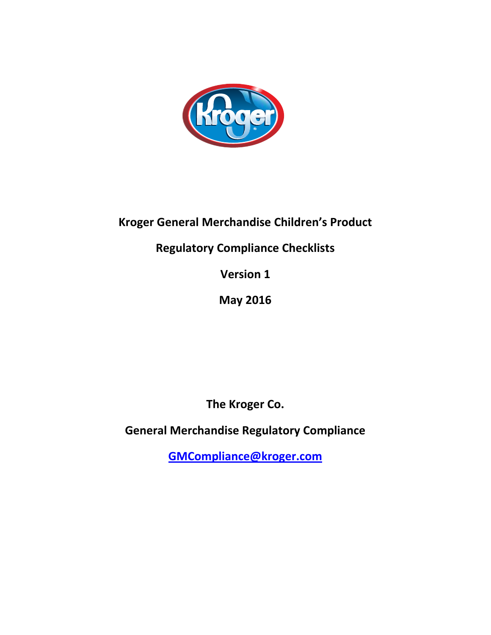

# **Kroger General Merchandise Children's Product**

# **Regulatory Compliance Checklists**

**Version 1**

**May 2016**

**The Kroger Co.** 

**General Merchandise Regulatory Compliance** 

**[GMCompliance@kroger.com](mailto:GMCompliance@kroger.com)**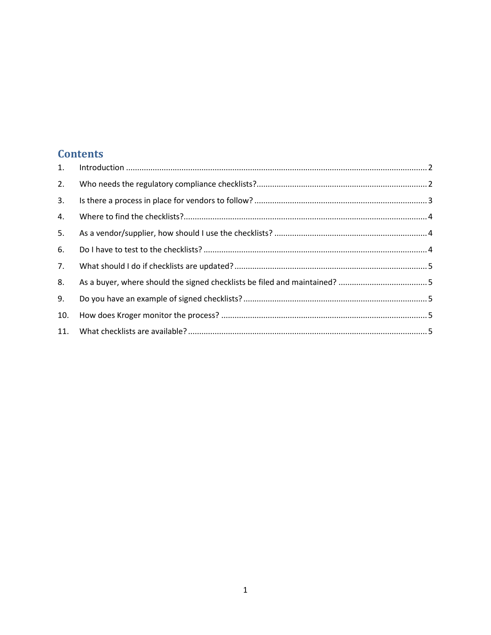## **Contents**

| 1.  |  |
|-----|--|
| 2.  |  |
| 3.  |  |
| 4.  |  |
| 5.  |  |
| 6.  |  |
| 7.  |  |
| 8.  |  |
| 9.  |  |
| 10. |  |
| 11. |  |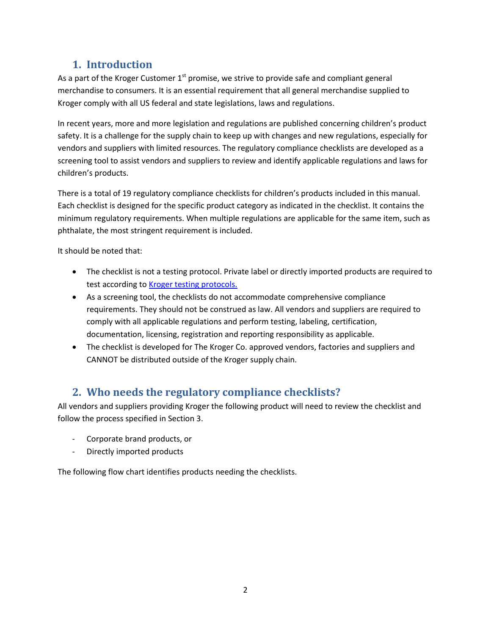## **1. Introduction**

<span id="page-2-0"></span>As a part of the Kroger Customer  $1<sup>st</sup>$  promise, we strive to provide safe and compliant general merchandise to consumers. It is an essential requirement that all general merchandise supplied to Kroger comply with all US federal and state legislations, laws and regulations.

In recent years, more and more legislation and regulations are published concerning children's product safety. It is a challenge for the supply chain to keep up with changes and new regulations, especially for vendors and suppliers with limited resources. The regulatory compliance checklists are developed as a screening tool to assist vendors and suppliers to review and identify applicable regulations and laws for children's products.

There is a total of 19 regulatory compliance checklists for children's products included in this manual. Each checklist is designed for the specific product category as indicated in the checklist. It contains the minimum regulatory requirements. When multiple regulations are applicable for the same item, such as phthalate, the most stringent requirement is included.

It should be noted that:

- The checklist is not a testing protocol. Private label or directly imported products are required to test according to Kroger testing protocols.
- As a screening tool, the checklists do not accommodate comprehensive compliance requirements. They should not be construed as law. All vendors and suppliers are required to comply with all applicable regulations and perform testing, labeling, certification, documentation, licensing, registration and reporting responsibility as applicable.
- The checklist is developed for The Kroger Co. approved vendors, factories and suppliers and CANNOT be distributed outside of the Kroger supply chain.

## <span id="page-2-1"></span>**2. Who needs the regulatory compliance checklists?**

All vendors and suppliers providing Kroger the following product will need to review the checklist and follow the process specified in Section 3.

- Corporate brand products, or
- Directly imported products

The following flow chart identifies products needing the checklists.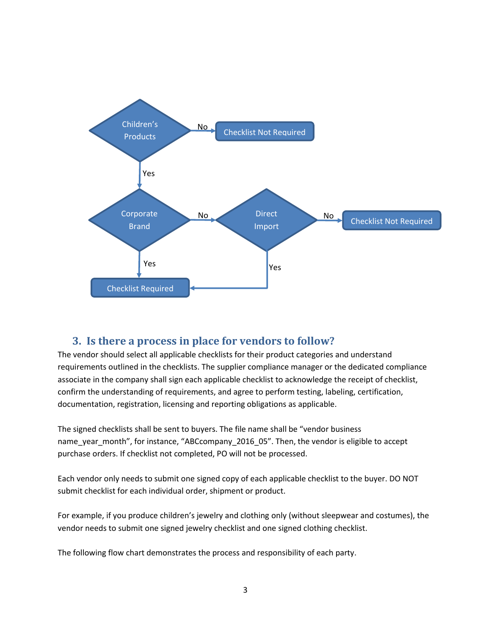

## <span id="page-3-0"></span>**3. Is there a process in place for vendors to follow?**

The vendor should select all applicable checklists for their product categories and understand requirements outlined in the checklists. The supplier compliance manager or the dedicated compliance associate in the company shall sign each applicable checklist to acknowledge the receipt of checklist, confirm the understanding of requirements, and agree to perform testing, labeling, certification, documentation, registration, licensing and reporting obligations as applicable.

The signed checklists shall be sent to buyers. The file name shall be "vendor business name\_year\_month", for instance, "ABCcompany\_2016\_05". Then, the vendor is eligible to accept purchase orders. If checklist not completed, PO will not be processed.

Each vendor only needs to submit one signed copy of each applicable checklist to the buyer. DO NOT submit checklist for each individual order, shipment or product.

For example, if you produce children's jewelry and clothing only (without sleepwear and costumes), the vendor needs to submit one signed jewelry checklist and one signed clothing checklist.

The following flow chart demonstrates the process and responsibility of each party.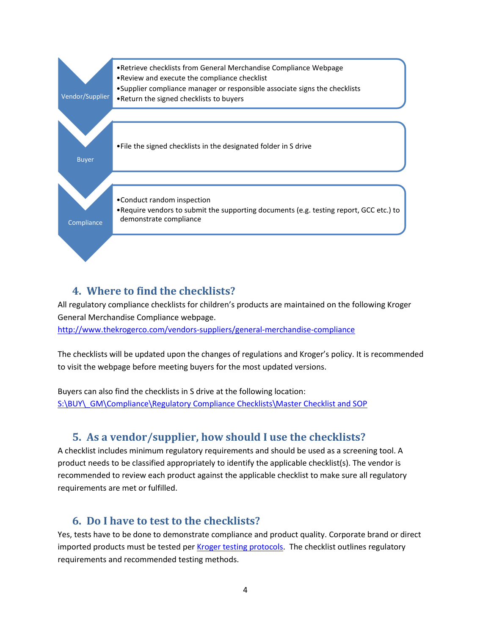

## <span id="page-4-0"></span>**4. Where to find the checklists?**

All regulatory compliance checklists for children's products are maintained on the following Kroger General Merchandise Compliance webpage. <http://www.thekrogerco.com/vendors-suppliers/general-merchandise-compliance>

The checklists will be updated upon the changes of regulations and Kroger's policy. It is recommended to visit the webpage before meeting buyers for the most updated versions.

<span id="page-4-1"></span>Buyers can also find the checklists in S drive at the following location: [S:\BUY\\\_GM\Compliance\Regulatory Compliance Checklists\Master Checklist and SOP](file://C701NAS01/SHARED/BUY/_GM/Compliance/Regulatory%20Compliance%20Checklists/Master%20Checklist%20and%20SOP)

## **5. As a vendor/supplier, how should I use the checklists?**

A checklist includes minimum regulatory requirements and should be used as a screening tool. A product needs to be classified appropriately to identify the applicable checklist(s). The vendor is recommended to review each product against the applicable checklist to make sure all regulatory requirements are met or fulfilled.

## <span id="page-4-2"></span>**6. Do I have to test to the checklists?**

Yes, tests have to be done to demonstrate compliance and product quality. Corporate brand or direct imported products must be tested pe[r Kroger testing protocols.](http://www.thekrogerco.com/vendors-suppliers/general-merchandise-compliance#testing) The checklist outlines regulatory requirements and recommended testing methods.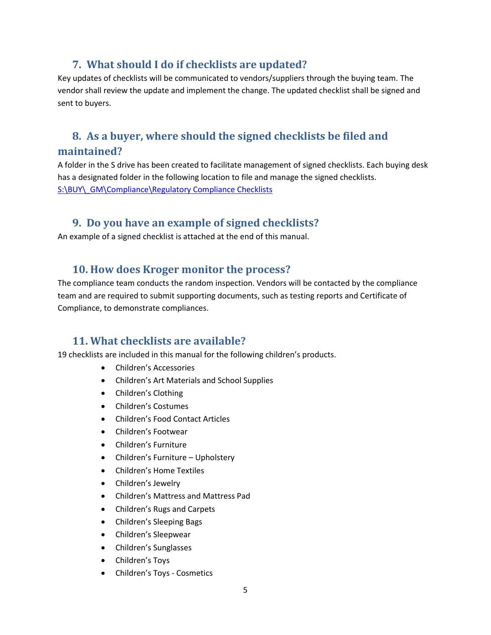## **7. What should I do if checklists are updated?**

<span id="page-5-0"></span>Key updates of checklists will be communicated to vendors/suppliers through the buying team. The vendor shall review the update and implement the change. The updated checklist shall be signed and sent to buyers.

## <span id="page-5-1"></span>**8. As a buyer, where should the signed checklists be filed and maintained?**

A folder in the S drive has been created to facilitate management of signed checklists. Each buying desk has a designated folder in the following location to file and manage the signed checklists. [S:\BUY\\\_GM\Compliance\Regulatory Compliance Checklists](file://C701NAS01/SHARED/BUY/_GM/Compliance/Regulatory%20Compliance%20Checklists)

## <span id="page-5-2"></span>**9. Do you have an example of signed checklists?**

<span id="page-5-3"></span>An example of a signed checklist is attached at the end of this manual.

## **10. How does Kroger monitor the process?**

The compliance team conducts the random inspection. Vendors will be contacted by the compliance team and are required to submit supporting documents, such as testing reports and Certificate of Compliance, to demonstrate compliances.

## <span id="page-5-4"></span>**11. What checklists are available?**

19 checklists are included in this manual for the following children's products.

- Children's Accessories
- Children's Art Materials and School Supplies
- Children's Clothing
- Children's Costumes
- Children's Food Contact Articles
- Children's Footwear
- Children's Furniture
- Children's Furniture Upholstery
- Children's Home Textiles
- Children's Jewelry
- Children's Mattress and Mattress Pad
- Children's Rugs and Carpets
- Children's Sleeping Bags
- Children's Sleepwear
- Children's Sunglasses
- Children's Toys
- Children's Toys Cosmetics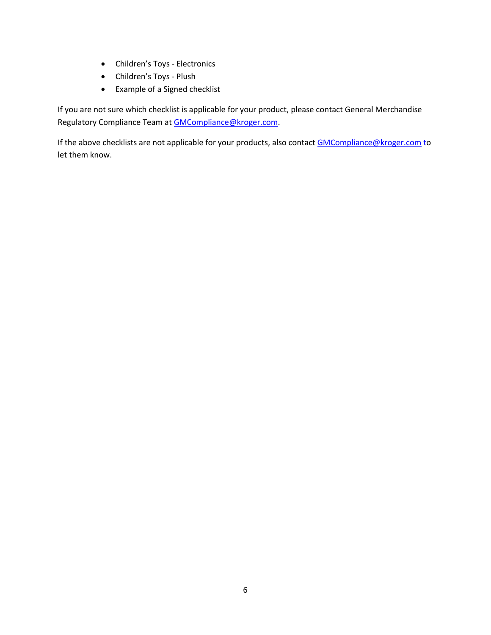- Children's Toys Electronics
- Children's Toys Plush
- Example of a Signed checklist

If you are not sure which checklist is applicable for your product, please contact General Merchandise Regulatory Compliance Team at **GMCompliance@kroger.com**.

If the above checklists are not applicable for your products, also contac[t GMCompliance@kroger.com](mailto:GMCompliance@kroger.com) to let them know.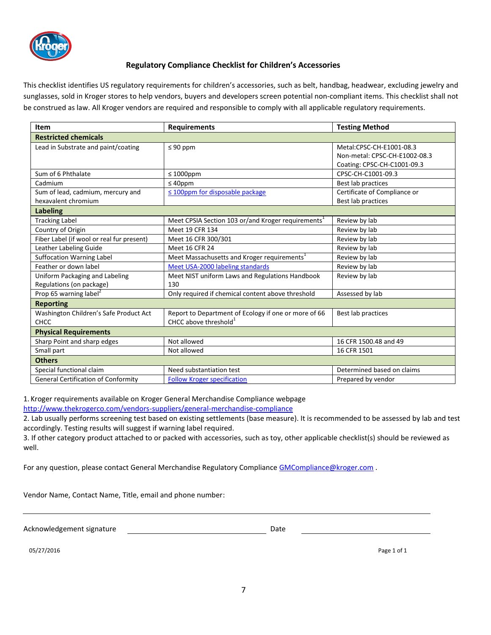

### **Regulatory Compliance Checklist for Children's Accessories**

This checklist identifies US regulatory requirements for children's accessories, such as belt, handbag, headwear, excluding jewelry and sunglasses, sold in Kroger stores to help vendors, buyers and developers screen potential non-compliant items. This checklist shall not be construed as law. All Kroger vendors are required and responsible to comply with all applicable regulatory requirements.

| Item                                       | <b>Requirements</b>                                            | <b>Testing Method</b>         |  |  |
|--------------------------------------------|----------------------------------------------------------------|-------------------------------|--|--|
| <b>Restricted chemicals</b>                |                                                                |                               |  |  |
| Lead in Substrate and paint/coating        | $\leq 90$ ppm                                                  | Metal:CPSC-CH-E1001-08.3      |  |  |
|                                            |                                                                | Non-metal: CPSC-CH-E1002-08.3 |  |  |
|                                            |                                                                | Coating: CPSC-CH-C1001-09.3   |  |  |
| Sum of 6 Phthalate                         | $\leq 1000$ ppm                                                | CPSC-CH-C1001-09.3            |  |  |
| Cadmium                                    | $\leq 40$ ppm                                                  | Best lab practices            |  |  |
| Sum of lead, cadmium, mercury and          | ≤ 100ppm for disposable package                                | Certificate of Compliance or  |  |  |
| hexavalent chromium                        |                                                                | Best lab practices            |  |  |
| <b>Labeling</b>                            |                                                                |                               |  |  |
| <b>Tracking Label</b>                      | Meet CPSIA Section 103 or/and Kroger requirements <sup>1</sup> | Review by lab                 |  |  |
| Country of Origin                          | Meet 19 CFR 134                                                | Review by lab                 |  |  |
| Fiber Label (if wool or real fur present)  | Meet 16 CFR 300/301                                            | Review by lab                 |  |  |
| Leather Labeling Guide                     | Meet 16 CFR 24                                                 | Review by lab                 |  |  |
| <b>Suffocation Warning Label</b>           | Meet Massachusetts and Kroger requirements <sup>1</sup>        | Review by lab                 |  |  |
| Feather or down label                      | Meet USA-2000 labeling standards                               | Review by lab                 |  |  |
| Uniform Packaging and Labeling             | Meet NIST uniform Laws and Regulations Handbook                | Review by lab                 |  |  |
| Regulations (on package)                   | 130                                                            |                               |  |  |
| Prop 65 warning label <sup>2</sup>         | Only required if chemical content above threshold              | Assessed by lab               |  |  |
| <b>Reporting</b>                           |                                                                |                               |  |  |
| Washington Children's Safe Product Act     | Report to Department of Ecology if one or more of 66           | Best lab practices            |  |  |
| CHCC                                       | CHCC above threshold <sup>1</sup>                              |                               |  |  |
| <b>Physical Requirements</b>               |                                                                |                               |  |  |
| Sharp Point and sharp edges                | Not allowed                                                    | 16 CFR 1500.48 and 49         |  |  |
| Small part                                 | Not allowed                                                    | 16 CFR 1501                   |  |  |
| <b>Others</b>                              |                                                                |                               |  |  |
| Special functional claim                   | Need substantiation test                                       | Determined based on claims    |  |  |
| <b>General Certification of Conformity</b> | <b>Follow Kroger specification</b>                             | Prepared by vendor            |  |  |

1. Kroger requirements available on Kroger General Merchandise Compliance webpage

http://www.thekrogerco.com/vendors-suppliers/general-merchandise-compliance

2. Lab usually performs screening test based on existing settlements (base measure). It is recommended to be assessed by lab and test accordingly. Testing results will suggest if warning label required.

3. If other category product attached to or packed with accessories, such as toy, other applicable checklist(s) should be reviewed as well.

For any question, please contact General Merchandise Regulatory Compliance GMCompliance@kroger.com .

Vendor Name, Contact Name, Title, email and phone number:

Acknowledgement signature descriptions of the Date Date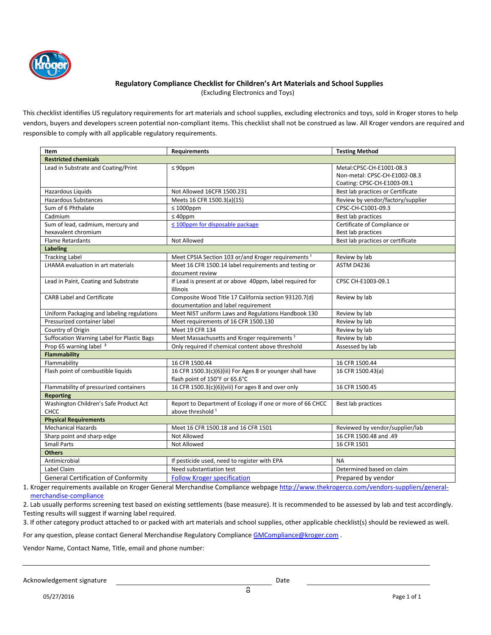

#### **Regulatory Compliance Checklist for Children's Art Materials and School Supplies**

(Excluding Electronics and Toys)

This checklist identifies US regulatory requirements for art materials and school supplies, excluding electronics and toys, sold in Kroger stores to help vendors, buyers and developers screen potential non-compliant items. This checklist shall not be construed as law. All Kroger vendors are required and responsible to comply with all applicable regulatory requirements.

| Item                                       | <b>Requirements</b>                                            | <b>Testing Method</b>             |
|--------------------------------------------|----------------------------------------------------------------|-----------------------------------|
| <b>Restricted chemicals</b>                |                                                                |                                   |
| Lead in Substrate and Coating/Print        | $\leq 90$ ppm                                                  | Metal:CPSC-CH-E1001-08.3          |
|                                            |                                                                | Non-metal: CPSC-CH-E1002-08.3     |
|                                            |                                                                | Coating: CPSC-CH-E1003-09.1       |
| Hazardous Liquids                          | Not Allowed 16CFR 1500.231                                     | Best lab practices or Certificate |
| <b>Hazardous Substances</b>                | Meets 16 CFR 1500.3(a)(15)                                     | Review by vendor/factory/supplier |
| Sum of 6 Phthalate                         | $\leq 1000$ ppm                                                | CPSC-CH-C1001-09.3                |
| Cadmium                                    | $\leq 40$ ppm                                                  | Best lab practices                |
| Sum of lead, cadmium, mercury and          | $\leq$ 100ppm for disposable package                           | Certificate of Compliance or      |
| hexavalent chromium                        |                                                                | Best lab practices                |
| <b>Flame Retardants</b>                    | Not Allowed                                                    | Best lab practices or certificate |
| <b>Labeling</b>                            |                                                                |                                   |
| <b>Tracking Label</b>                      | Meet CPSIA Section 103 or/and Kroger requirements <sup>1</sup> | Review by lab                     |
| LHAMA evaluation in art materials          | Meet 16 CFR 1500.14 label requirements and testing or          | ASTM D4236                        |
|                                            | document review                                                |                                   |
| Lead in Paint, Coating and Substrate       | If Lead is present at or above 40ppm, label required for       | CPSC CH-E1003-09.1                |
|                                            | Illinois                                                       |                                   |
| <b>CARB Label and Certificate</b>          | Composite Wood Title 17 California section 93120.7(d)          | Review by lab                     |
|                                            | documentation and label requirement                            |                                   |
| Uniform Packaging and labeling regulations | Meet NIST uniform Laws and Regulations Handbook 130            | Review by lab                     |
| Pressurized container label                | Meet requirements of 16 CFR 1500.130                           | Review by lab                     |
| Country of Origin                          | Meet 19 CFR 134                                                | Review by lab                     |
| Suffocation Warning Label for Plastic Bags | Meet Massachusetts and Kroger requirements <sup>1</sup>        | Review by lab                     |
| Prop 65 warning label <sup>2</sup>         | Only required if chemical content above threshold              | Assessed by lab                   |
| <b>Flammability</b>                        |                                                                |                                   |
| Flammability                               | 16 CFR 1500.44                                                 | 16 CFR 1500.44                    |
| Flash point of combustible liquids         | 16 CFR 1500.3(c)(6)(iii) For Ages 8 or younger shall have      | 16 CFR 1500.43(a)                 |
|                                            | flash point of 150°F or 65.6°C                                 |                                   |
| Flammability of pressurized containers     | 16 CFR 1500.3(c)(6)(viii) For ages 8 and over only             | 16 CFR 1500.45                    |
| <b>Reporting</b>                           |                                                                |                                   |
| Washington Children's Safe Product Act     | Report to Department of Ecology if one or more of 66 CHCC      | Best lab practices                |
| CHCC                                       | above threshold <sup>1</sup>                                   |                                   |
| <b>Physical Requirements</b>               |                                                                |                                   |
| <b>Mechanical Hazards</b>                  | Meet 16 CFR 1500.18 and 16 CFR 1501                            | Reviewed by vendor/supplier/lab   |
| Sharp point and sharp edge                 | Not Allowed                                                    | 16 CFR 1500.48 and .49            |
| <b>Small Parts</b>                         | Not Allowed                                                    | 16 CFR 1501                       |
| <b>Others</b>                              |                                                                |                                   |
| Antimicrobial                              | If pesticide used, need to register with EPA                   | <b>NA</b>                         |
| Label Claim                                | Need substantiation test                                       | Determined based on claim         |
| <b>General Certification of Conformity</b> | <b>Follow Kroger specification</b>                             | Prepared by vendor                |

1. Kroger requirements available on Kroger General Merchandise Compliance webpage http://www.thekrogerco.com/vendors-suppliers/generalmerchandise-compliance

2. Lab usually performs screening test based on existing settlements (base measure). It is recommended to be assessed by lab and test accordingly. Testing results will suggest if warning label required.

3. If other category product attached to or packed with art materials and school supplies, other applicable checklist(s) should be reviewed as well.

For any question, please contact General Merchandise Regulatory Compliance GMCompliance@kroger.com .

Vendor Name, Contact Name, Title, email and phone number:

Acknowledgement signature descriptions of the Date of Date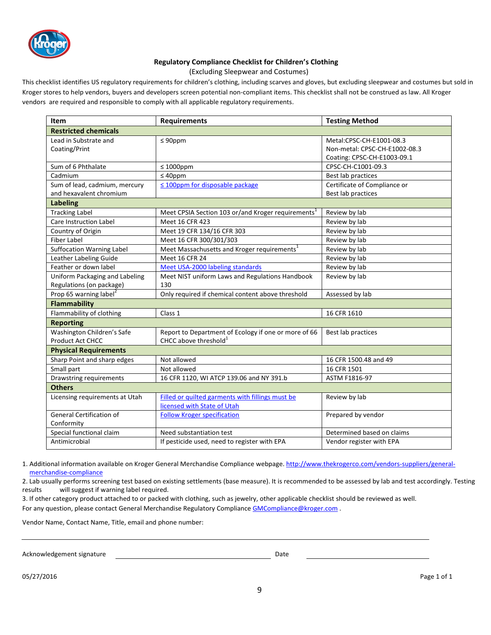

### **Regulatory Compliance Checklist for Children's Clothing**

(Excluding Sleepwear and Costumes)

This checklist identifies US regulatory requirements for children's clothing, including scarves and gloves, but excluding sleepwear and costumes but sold in Kroger stores to help vendors, buyers and developers screen potential non-compliant items. This checklist shall not be construed as law. All Kroger vendors are required and responsible to comply with all applicable regulatory requirements.

| Item                               | <b>Requirements</b>                                            | <b>Testing Method</b>         |  |
|------------------------------------|----------------------------------------------------------------|-------------------------------|--|
| <b>Restricted chemicals</b>        |                                                                |                               |  |
| Lead in Substrate and              | $\leq 90$ ppm                                                  | Metal:CPSC-CH-E1001-08.3      |  |
| Coating/Print                      |                                                                | Non-metal: CPSC-CH-E1002-08.3 |  |
|                                    |                                                                | Coating: CPSC-CH-E1003-09.1   |  |
| Sum of 6 Phthalate                 | $\leq 1000$ ppm                                                | CPSC-CH-C1001-09.3            |  |
| Cadmium                            | $\leq 40$ ppm                                                  | Best lab practices            |  |
| Sum of lead, cadmium, mercury      | $\leq$ 100ppm for disposable package                           | Certificate of Compliance or  |  |
| and hexavalent chromium            |                                                                | Best lab practices            |  |
| <b>Labeling</b>                    |                                                                |                               |  |
| <b>Tracking Label</b>              | Meet CPSIA Section 103 or/and Kroger requirements <sup>1</sup> | Review by lab                 |  |
| <b>Care Instruction Label</b>      | Meet 16 CFR 423                                                | Review by lab                 |  |
| Country of Origin                  | Meet 19 CFR 134/16 CFR 303                                     | Review by lab                 |  |
| <b>Fiber Label</b>                 | Meet 16 CFR 300/301/303                                        | Review by lab                 |  |
| <b>Suffocation Warning Label</b>   | Meet Massachusetts and Kroger requirements <sup>1</sup>        | Review by lab                 |  |
| Leather Labeling Guide             | Meet 16 CFR 24                                                 | Review by lab                 |  |
| Feather or down label              | Meet USA-2000 labeling standards                               | Review by lab                 |  |
| Uniform Packaging and Labeling     | Meet NIST uniform Laws and Regulations Handbook                | Review by lab                 |  |
| Regulations (on package)           | 130                                                            |                               |  |
| Prop 65 warning label <sup>2</sup> | Only required if chemical content above threshold              | Assessed by lab               |  |
| <b>Flammability</b>                |                                                                |                               |  |
| Flammability of clothing           | Class 1                                                        | 16 CFR 1610                   |  |
| <b>Reporting</b>                   |                                                                |                               |  |
| Washington Children's Safe         | Report to Department of Ecology if one or more of 66           | Best lab practices            |  |
| <b>Product Act CHCC</b>            | CHCC above threshold <sup>1</sup>                              |                               |  |
| <b>Physical Requirements</b>       |                                                                |                               |  |
| Sharp Point and sharp edges        | Not allowed                                                    | 16 CFR 1500.48 and 49         |  |
| Small part                         | Not allowed                                                    | 16 CFR 1501                   |  |
| Drawstring requirements            | 16 CFR 1120, WI ATCP 139.06 and NY 391.b                       | ASTM F1816-97                 |  |
| <b>Others</b>                      |                                                                |                               |  |
| Licensing requirements at Utah     | Filled or quilted garments with fillings must be               | Review by lab                 |  |
|                                    | licensed with State of Utah                                    |                               |  |
| <b>General Certification of</b>    | <b>Follow Kroger specification</b>                             | Prepared by vendor            |  |
| Conformity                         |                                                                |                               |  |
| Special functional claim           | Need substantiation test                                       | Determined based on claims    |  |
| Antimicrobial                      | If pesticide used, need to register with EPA                   | Vendor register with EPA      |  |

1. Additional information available on Kroger General Merchandise Compliance webpage. http://www.thekrogerco.com/vendors-suppliers/generalmerchandise-compliance

2. Lab usually performs screening test based on existing settlements (base measure). It is recommended to be assessed by lab and test accordingly. Testing results will suggest if warning label required.

3. If other category product attached to or packed with clothing, such as jewelry, other applicable checklist should be reviewed as well. For any question, please contact General Merchandise Regulatory Compliance GMCompliance@kroger.com .

Vendor Name, Contact Name, Title, email and phone number:

Acknowledgement signature **Date of Acknowledgement** signature **Date**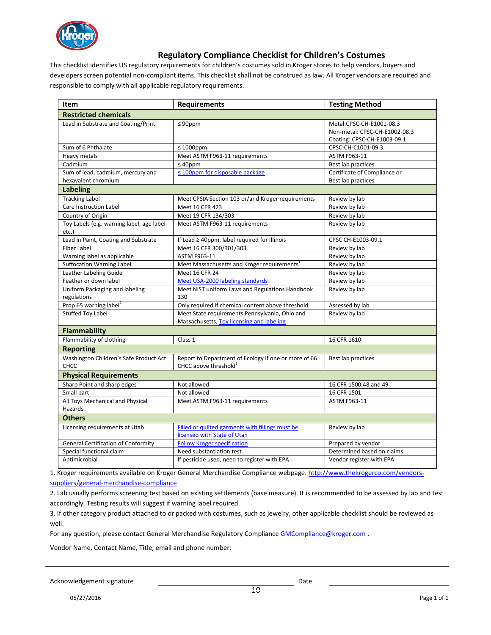

### **Regulatory Compliance Checklist for Children's Costumes**

This checklist identifies US regulatory requirements for children's costumes sold in Kroger stores to help vendors, buyers and developers screen potential non-compliant items. This checklist shall not be construed as law. All Kroger vendors are required and responsible to comply with all applicable regulatory requirements.

| <b>Item</b>                                        | <b>Requirements</b>                                                                       | <b>Testing Method</b>                                                                    |  |  |
|----------------------------------------------------|-------------------------------------------------------------------------------------------|------------------------------------------------------------------------------------------|--|--|
| <b>Restricted chemicals</b>                        |                                                                                           |                                                                                          |  |  |
| Lead in Substrate and Coating/Print                | $\leq 90$ ppm                                                                             | Metal:CPSC-CH-E1001-08.3<br>Non-metal: CPSC-CH-E1002-08.3<br>Coating: CPSC-CH-E1003-09.1 |  |  |
| Sum of 6 Phthalate                                 | $\leq 1000$ ppm                                                                           | CPSC-CH-C1001-09.3                                                                       |  |  |
| Heavy metals                                       | Meet ASTM F963-11 requirements                                                            | ASTM F963-11                                                                             |  |  |
| Cadmium                                            | $\leq 40$ ppm                                                                             | Best lab practices                                                                       |  |  |
| Sum of lead, cadmium, mercury and                  | $\leq$ 100ppm for disposable package                                                      | Certificate of Compliance or                                                             |  |  |
| hexavalent chromium                                |                                                                                           | Best lab practices                                                                       |  |  |
| <b>Labeling</b>                                    |                                                                                           |                                                                                          |  |  |
| <b>Tracking Label</b>                              | Meet CPSIA Section 103 or/and Kroger requirements <sup>1</sup>                            | Review by lab                                                                            |  |  |
| Care Instruction Label                             | Meet 16 CFR 423                                                                           | Review by lab                                                                            |  |  |
| Country of Origin                                  | Meet 19 CFR 134/303                                                                       | Review by lab                                                                            |  |  |
| Toy Labels (e.g. warning label, age label<br>etc.) | Meet ASTM F963-11 requirements                                                            | Review by lab                                                                            |  |  |
| Lead in Paint, Coating and Substrate               | If Lead ≥ 40ppm, label required for Illinois                                              | CPSC CH-E1003-09.1                                                                       |  |  |
| <b>Fiber Label</b>                                 | Meet 16 CFR 300/301/303                                                                   | Review by lab                                                                            |  |  |
| Warning label as applicable                        | ASTM F963-11                                                                              | Review by lab                                                                            |  |  |
| <b>Suffocation Warning Label</b>                   | Meet Massachusetts and Kroger requirements <sup>1</sup>                                   | Review by lab                                                                            |  |  |
| Leather Labeling Guide                             | Meet 16 CFR 24                                                                            | Review by lab                                                                            |  |  |
| Feather or down label                              | Meet USA-2000 labeling standards                                                          | Review by lab                                                                            |  |  |
| Uniform Packaging and labeling<br>regulations      | Meet NIST uniform Laws and Regulations Handbook<br>130                                    | Review by lab                                                                            |  |  |
| Prop 65 warning label <sup>2</sup>                 | Only required if chemical content above threshold                                         | Assessed by lab                                                                          |  |  |
| <b>Stuffed Toy Label</b>                           | Meet State requirements Pennsylvania, Ohio and                                            | Review by lab                                                                            |  |  |
|                                                    | Massachusetts, Toy licensing and labeling                                                 |                                                                                          |  |  |
| <b>Flammability</b>                                |                                                                                           |                                                                                          |  |  |
| Flammability of clothing                           | Class 1                                                                                   | 16 CFR 1610                                                                              |  |  |
| <b>Reporting</b>                                   |                                                                                           |                                                                                          |  |  |
| Washington Children's Safe Product Act<br>CHCC     | Report to Department of Ecology if one or more of 66<br>CHCC above threshold <sup>1</sup> | Best lab practices                                                                       |  |  |
| <b>Physical Requirements</b>                       |                                                                                           |                                                                                          |  |  |
| Sharp Point and sharp edges                        | Not allowed                                                                               | 16 CFR 1500.48 and 49                                                                    |  |  |
| Small part                                         | Not allowed                                                                               | 16 CFR 1501                                                                              |  |  |
| All Toys Mechanical and Physical                   | Meet ASTM F963-11 requirements                                                            | <b>ASTM F963-11</b>                                                                      |  |  |
| Hazards                                            |                                                                                           |                                                                                          |  |  |
| <b>Others</b>                                      |                                                                                           |                                                                                          |  |  |
| Licensing requirements at Utah                     | Filled or quilted garments with fillings must be                                          | Review by lab                                                                            |  |  |
|                                                    | licensed with State of Utah                                                               |                                                                                          |  |  |
| <b>General Certification of Conformity</b>         | <b>Follow Kroger specification</b>                                                        | Prepared by vendor                                                                       |  |  |
| Special functional claim                           | Need substantiation test                                                                  | Determined based on claims                                                               |  |  |
| Antimicrobial                                      | If pesticide used, need to register with EPA                                              | Vendor register with EPA                                                                 |  |  |

1. Kroger requirements available on Kroger General Merchandise Compliance webpage. http://www.thekrogerco.com/vendorssuppliers/general-merchandise-compliance

2. Lab usually performs screening test based on existing settlements (base measure). It is recommended to be assessed by lab and test accordingly. Testing results will suggest if warning label required.

3. If other category product attached to or packed with costumes, such as jewelry, other applicable checklist should be reviewed as well.

For any question, please contact General Merchandise Regulatory Compliance GMCompliance @kroger.com .

Vendor Name, Contact Name, Title, email and phone number: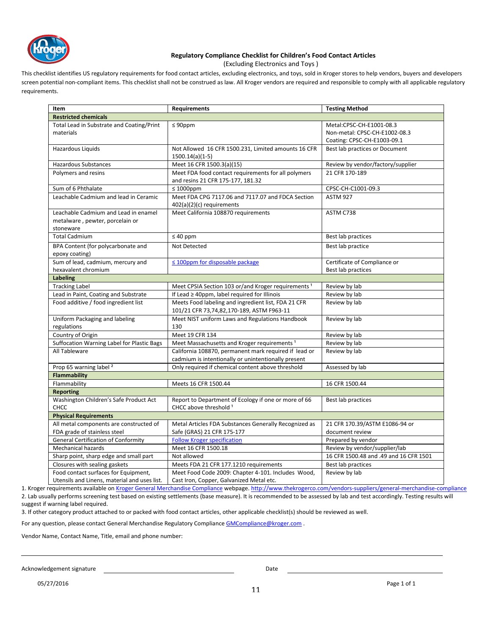

#### **Regulatory Compliance Checklist for Children's Food Contact Articles**

(Excluding Electronics and Toys )

This checklist identifies US regulatory requirements for food contact articles, excluding electronics, and toys, sold in Kroger stores to help vendors, buyers and developers screen potential non-compliant items. This checklist shall not be construed as law. All Kroger vendors are required and responsible to comply with all applicable regulatory requirements.

| Item                                         | <b>Requirements</b>                                            | <b>Testing Method</b>                  |
|----------------------------------------------|----------------------------------------------------------------|----------------------------------------|
| <b>Restricted chemicals</b>                  |                                                                |                                        |
| Total Lead in Substrate and Coating/Print    | $\leq 90$ ppm                                                  | Metal:CPSC-CH-E1001-08.3               |
| materials                                    |                                                                | Non-metal: CPSC-CH-E1002-08.3          |
|                                              |                                                                | Coating: CPSC-CH-E1003-09.1            |
| Hazardous Liquids                            | Not Allowed 16 CFR 1500.231, Limited amounts 16 CFR            | Best lab practices or Document         |
|                                              | $1500.14(a)(1-5)$                                              |                                        |
| <b>Hazardous Substances</b>                  | Meet 16 CFR 1500.3(a)(15)                                      | Review by vendor/factory/supplier      |
| Polymers and resins                          | Meet FDA food contact requirements for all polymers            | 21 CFR 170-189                         |
|                                              | and resins 21 CFR 175-177, 181.32                              |                                        |
| Sum of 6 Phthalate                           | $\leq 1000$ ppm                                                | CPSC-CH-C1001-09.3                     |
| Leachable Cadmium and lead in Ceramic        | Meet FDA CPG 7117.06 and 7117.07 and FDCA Section              | <b>ASTM 927</b>                        |
|                                              | $402(a)(2)(c)$ requirements                                    |                                        |
| Leachable Cadmium and Lead in enamel         | Meet California 108870 requirements                            | ASTM C738                              |
| metalware, pewter, porcelain or              |                                                                |                                        |
| stoneware                                    |                                                                |                                        |
| <b>Total Cadmium</b>                         | $\leq 40$ ppm                                                  | Best lab practices                     |
| BPA Content (for polycarbonate and           | Not Detected                                                   | Best lab practice                      |
| epoxy coating)                               |                                                                |                                        |
| Sum of lead, cadmium, mercury and            | $\leq$ 100ppm for disposable package                           | Certificate of Compliance or           |
| hexavalent chromium                          |                                                                | Best lab practices                     |
| <b>Labeling</b>                              |                                                                |                                        |
| <b>Tracking Label</b>                        | Meet CPSIA Section 103 or/and Kroger requirements <sup>1</sup> | Review by lab                          |
| Lead in Paint, Coating and Substrate         | If Lead ≥ 40ppm, label required for Illinois                   | Review by lab                          |
| Food additive / food ingredient list         | Meets Food labeling and ingredient list, FDA 21 CFR            | Review by lab                          |
|                                              | 101/21 CFR 73,74,82,170-189, ASTM F963-11                      |                                        |
| Uniform Packaging and labeling               | Meet NIST uniform Laws and Regulations Handbook                | Review by lab                          |
| regulations                                  | 130                                                            |                                        |
| Country of Origin                            | Meet 19 CFR 134                                                | Review by lab                          |
| Suffocation Warning Label for Plastic Bags   | Meet Massachusetts and Kroger requirements <sup>1</sup>        | Review by lab                          |
| All Tableware                                | California 108870, permanent mark required if lead or          | Review by lab                          |
|                                              | cadmium is intentionally or unintentionally present            |                                        |
| Prop 65 warning label <sup>2</sup>           | Only required if chemical content above threshold              | Assessed by lab                        |
| <b>Flammability</b>                          |                                                                |                                        |
| Flammability                                 | Meets 16 CFR 1500.44                                           | 16 CFR 1500.44                         |
| <b>Reporting</b>                             |                                                                |                                        |
| Washington Children's Safe Product Act       | Report to Department of Ecology if one or more of 66           | Best lab practices                     |
| CHCC                                         | CHCC above threshold <sup>1</sup>                              |                                        |
| <b>Physical Requirements</b>                 |                                                                |                                        |
| All metal components are constructed of      | Metal Articles FDA Substances Generally Recognized as          | 21 CFR 170.39/ASTM E1086-94 or         |
| FDA grade of stainless steel                 | Safe (GRAS) 21 CFR 175-177                                     | document review                        |
| <b>General Certification of Conformity</b>   | <b>Follow Kroger specification</b>                             | Prepared by vendor                     |
| <b>Mechanical hazards</b>                    | Meet 16 CFR 1500.18                                            | Review by vendor/supplier/lab          |
| Sharp point, sharp edge and small part       | Not allowed                                                    | 16 CFR 1500.48 and .49 and 16 CFR 1501 |
| Closures with sealing gaskets                | Meets FDA 21 CFR 177.1210 requirements                         | Best lab practices                     |
| Food contact surfaces for Equipment,         | Meet Food Code 2009: Chapter 4-101. Includes Wood,             | Review by lab                          |
| Utensils and Linens, material and uses list. | Cast Iron, Copper, Galvanized Metal etc.                       |                                        |

1. Kroger requirements available on Kroger General Merchandise Compliance webpage. http://www.thekrogerco.com/vendors-suppliers/general-merchandise-compliance

2. Lab usually performs screening test based on existing settlements (base measure). It is recommended to be assessed by lab and test accordingly. Testing results will suggest if warning label required.

3. If other category product attached to or packed with food contact articles, other applicable checklist(s) should be reviewed as well.

For any question, please contact General Merchandise Regulatory Compliance GMCompliance@kroger.com .

Vendor Name, Contact Name, Title, email and phone number:

Acknowledgement signature descriptions of the Date of the Date Date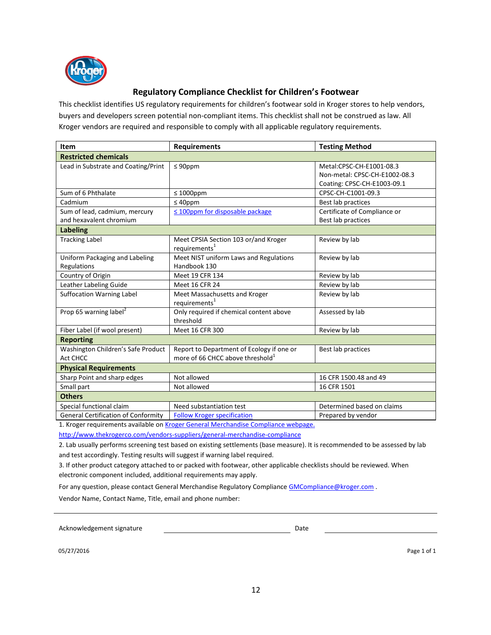

### **Regulatory Compliance Checklist for Children's Footwear**

This checklist identifies US regulatory requirements for children's footwear sold in Kroger stores to help vendors, buyers and developers screen potential non-compliant items. This checklist shall not be construed as law. All Kroger vendors are required and responsible to comply with all applicable regulatory requirements.

| Item                                                     | <b>Requirements</b>                                                                       | <b>Testing Method</b>                                                                    |  |
|----------------------------------------------------------|-------------------------------------------------------------------------------------------|------------------------------------------------------------------------------------------|--|
| <b>Restricted chemicals</b>                              |                                                                                           |                                                                                          |  |
| Lead in Substrate and Coating/Print                      | $\leq 90$ ppm                                                                             | Metal:CPSC-CH-E1001-08.3<br>Non-metal: CPSC-CH-E1002-08.3<br>Coating: CPSC-CH-E1003-09.1 |  |
| Sum of 6 Phthalate                                       | $\leq 1000$ ppm                                                                           | CPSC-CH-C1001-09.3                                                                       |  |
| Cadmium                                                  | $\leq 40$ ppm                                                                             | Best lab practices                                                                       |  |
| Sum of lead, cadmium, mercury<br>and hexavalent chromium | $\leq$ 100ppm for disposable package                                                      | Certificate of Compliance or<br>Best lab practices                                       |  |
| <b>Labeling</b>                                          |                                                                                           |                                                                                          |  |
| <b>Tracking Label</b>                                    | Meet CPSIA Section 103 or/and Kroger<br>requirements <sup>1</sup>                         | Review by lab                                                                            |  |
| Uniform Packaging and Labeling<br>Regulations            | Meet NIST uniform Laws and Regulations<br>Handbook 130                                    | Review by lab                                                                            |  |
| Country of Origin                                        | Meet 19 CFR 134                                                                           | Review by lab                                                                            |  |
| Leather Labeling Guide                                   | Meet 16 CFR 24                                                                            | Review by lab                                                                            |  |
| <b>Suffocation Warning Label</b>                         | Meet Massachusetts and Kroger<br>requirements <sup>1</sup>                                | Review by lab                                                                            |  |
| Prop 65 warning label <sup>2</sup>                       | Only required if chemical content above<br>threshold                                      | Assessed by lab                                                                          |  |
| Fiber Label (if wool present)                            | Meet 16 CFR 300                                                                           | Review by lab                                                                            |  |
| <b>Reporting</b>                                         |                                                                                           |                                                                                          |  |
| Washington Children's Safe Product<br>Act CHCC           | Report to Department of Ecology if one or<br>more of 66 CHCC above threshold <sup>1</sup> | Best lab practices                                                                       |  |
| <b>Physical Requirements</b>                             |                                                                                           |                                                                                          |  |
| Sharp Point and sharp edges                              | Not allowed                                                                               | 16 CFR 1500.48 and 49                                                                    |  |
| Small part                                               | Not allowed                                                                               | 16 CFR 1501                                                                              |  |
| <b>Others</b>                                            |                                                                                           |                                                                                          |  |
| Special functional claim                                 | Need substantiation test                                                                  | Determined based on claims                                                               |  |
| <b>General Certification of Conformity</b>               | <b>Follow Kroger specification</b>                                                        | Prepared by vendor                                                                       |  |

1. Kroger requirements available on Kroger General Merchandise Compliance webpage.

http://www.thekrogerco.com/vendors-suppliers/general-merchandise-compliance

2. Lab usually performs screening test based on existing settlements (base measure). It is recommended to be assessed by lab and test accordingly. Testing results will suggest if warning label required.

3. If other product category attached to or packed with footwear, other applicable checklists should be reviewed. When electronic component included, additional requirements may apply.

For any question, please contact General Merchandise Regulatory Compliance GMCompliance@kroger.com. Vendor Name, Contact Name, Title, email and phone number:

Acknowledgement signature and the Date of Date Date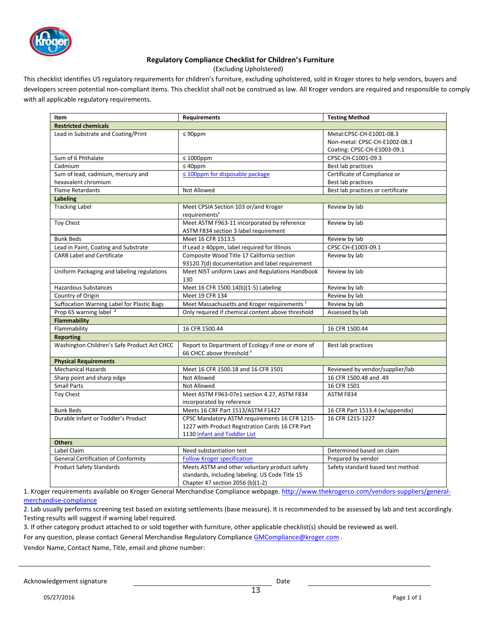

#### **Regulatory Compliance Checklist for Children's Furniture**

(Excluding Upholstered)

This checklist identifies US regulatory requirements for children's furniture, excluding upholstered, sold in Kroger stores to help vendors, buyers and developers screen potential non-compliant items. This checklist shall not be construed as law. All Kroger vendors are required and responsible to comply with all applicable regulatory requirements.

| Item                                        | Requirements                                            | <b>Testing Method</b>             |
|---------------------------------------------|---------------------------------------------------------|-----------------------------------|
| <b>Restricted chemicals</b>                 |                                                         |                                   |
| Lead in Substrate and Coating/Print         | $\leq 90$ ppm                                           | Metal:CPSC-CH-E1001-08.3          |
|                                             |                                                         | Non-metal: CPSC-CH-E1002-08.3     |
|                                             |                                                         | Coating: CPSC-CH-E1003-09.1       |
| Sum of 6 Phthalate                          | $\leq 1000$ ppm                                         | CPSC-CH-C1001-09.3                |
| Cadmium                                     | $\leq 40$ ppm                                           | Best lab practices                |
| Sum of lead, cadmium, mercury and           | ≤ 100ppm for disposable package                         | Certificate of Compliance or      |
| hexavalent chromium                         |                                                         | Best lab practices                |
| <b>Flame Retardants</b>                     | Not Allowed                                             | Best lab practices or certificate |
| <b>Labeling</b>                             |                                                         |                                   |
| <b>Tracking Label</b>                       | Meet CPSIA Section 103 or/and Kroger                    | Review by lab                     |
|                                             | requirements <sup>1</sup>                               |                                   |
| Toy Chest                                   | Meet ASTM F963-11 incorporated by reference             | Review by lab                     |
|                                             | ASTM F834 section 3 label requirement                   |                                   |
| <b>Bunk Beds</b>                            | Meet 16 CFR 1513.5                                      | Review by lab                     |
| Lead in Paint, Coating and Substrate        | If Lead $\geq$ 40ppm, label required for Illinois       | CPSC CH-E1003-09.1                |
| <b>CARB Label and Certificate</b>           | Composite Wood Title 17 California section              | Review by lab                     |
|                                             | 93120.7(d) documentation and label requirement          |                                   |
| Uniform Packaging and labeling regulations  | Meet NIST uniform Laws and Regulations Handbook         | Review by lab                     |
|                                             | 130                                                     |                                   |
| <b>Hazardous Substances</b>                 | Meet 16 CFR 1500.14(b)(1-5) Labeling                    | Review by lab                     |
| Country of Origin                           | Meet 19 CFR 134                                         | Review by lab                     |
| Suffocation Warning Label for Plastic Bags  | Meet Massachusetts and Kroger requirements <sup>1</sup> | Review by lab                     |
| Prop 65 warning label <sup>2</sup>          | Only required if chemical content above threshold       | Assessed by lab                   |
| <b>Flammability</b>                         |                                                         |                                   |
| Flammability                                | 16 CFR 1500.44                                          | 16 CFR 1500.44                    |
| <b>Reporting</b>                            |                                                         |                                   |
| Washington Children's Safe Product Act CHCC | Report to Department of Ecology if one or more of       | Best lab practices                |
|                                             | 66 CHCC above threshold 1                               |                                   |
| <b>Physical Requirements</b>                |                                                         |                                   |
| <b>Mechanical Hazards</b>                   | Meet 16 CFR 1500.18 and 16 CFR 1501                     | Reviewed by vendor/supplier/lab   |
| Sharp point and sharp edge                  | Not Allowed                                             | 16 CFR 1500.48 and .49            |
| <b>Small Parts</b>                          | Not Allowed                                             | 16 CFR 1501                       |
| <b>Toy Chest</b>                            | Meet ASTM F963-07e1 section 4.27, ASTM F834             | ASTM F834                         |
|                                             | incorporated by reference                               |                                   |
| <b>Bunk Beds</b>                            | Meets 16 CRF Part 1513/ASTM F1427                       | 16 CFR Part 1513.4 (w/appendix)   |
| Durable Infant or Toddler's Product         | CPSC Mandatory ASTM requirements 16 CFR 1215-           | 16 CFR 1215-1227                  |
|                                             | 1227 with Product Registration Cards 16 CFR Part        |                                   |
|                                             | 1130 Infant and Toddler List                            |                                   |
| <b>Others</b>                               |                                                         |                                   |
| Label Claim                                 | Need substantiation test                                | Determined based on claim         |
| <b>General Certification of Conformity</b>  | <b>Follow Kroger specification</b>                      | Prepared by vendor                |
| <b>Product Safety Standards</b>             | Meets ASTM and other voluntary product safety           | Safety standard based test method |
|                                             | standards, including labeling. US Code Title 15         |                                   |
|                                             | Chapter 47 section 2056 (b)(1-2)                        |                                   |

1. Kroger requirements available on Kroger General Merchandise Compliance webpage. http://www.thekrogerco.com/vendors-suppliers/generalmerchandise-compliance

2. Lab usually performs screening test based on existing settlements (base measure). It is recommended to be assessed by lab and test accordingly. Testing results will suggest if warning label required.

3. If other category product attached to or sold together with furniture, other applicable checklist(s) should be reviewed as well.

For any question, please contact General Merchandise Regulatory Compliance GMCompliance@kroger.com .

Vendor Name, Contact Name, Title, email and phone number: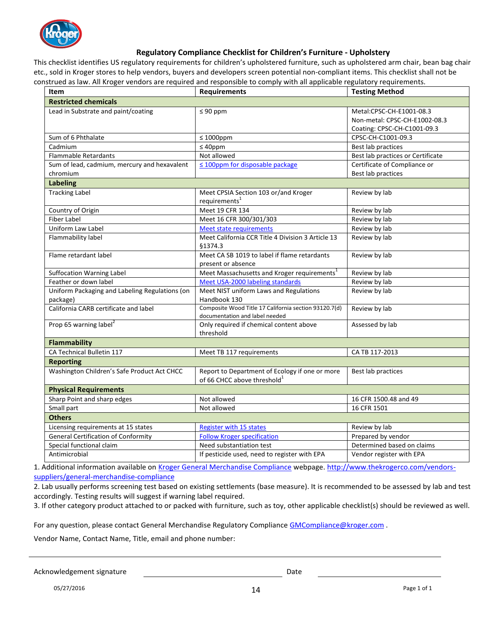

### **Regulatory Compliance Checklist for Children's Furniture - Upholstery**

This checklist identifies US regulatory requirements for children's upholstered furniture, such as upholstered arm chair, bean bag chair etc., sold in Kroger stores to help vendors, buyers and developers screen potential non-compliant items. This checklist shall not be construed as law. All Kroger vendors are required and responsible to comply with all applicable regulatory requirements.

| <b>Item</b>                                                | <b>Requirements</b>                                                                       | <b>Testing Method</b>                                                                    |
|------------------------------------------------------------|-------------------------------------------------------------------------------------------|------------------------------------------------------------------------------------------|
| <b>Restricted chemicals</b>                                |                                                                                           |                                                                                          |
| Lead in Substrate and paint/coating                        | $\leq 90$ ppm                                                                             | Metal:CPSC-CH-E1001-08.3<br>Non-metal: CPSC-CH-E1002-08.3<br>Coating: CPSC-CH-C1001-09.3 |
| Sum of 6 Phthalate                                         | $\leq 1000$ ppm                                                                           | CPSC-CH-C1001-09.3                                                                       |
| Cadmium                                                    | $\leq 40$ ppm                                                                             | Best lab practices                                                                       |
| Flammable Retardants                                       | Not allowed                                                                               | Best lab practices or Certificate                                                        |
| Sum of lead, cadmium, mercury and hexavalent               | $\leq$ 100ppm for disposable package                                                      | Certificate of Compliance or                                                             |
| chromium                                                   |                                                                                           | Best lab practices                                                                       |
| <b>Labeling</b>                                            |                                                                                           |                                                                                          |
| <b>Tracking Label</b>                                      | Meet CPSIA Section 103 or/and Kroger<br>requirements <sup>1</sup>                         | Review by lab                                                                            |
| Country of Origin                                          | Meet 19 CFR 134                                                                           | Review by lab                                                                            |
| <b>Fiber Label</b>                                         | Meet 16 CFR 300/301/303                                                                   | Review by lab                                                                            |
| Uniform Law Label                                          | <b>Meet state requirements</b>                                                            | Review by lab                                                                            |
| Flammability label                                         | Meet California CCR Title 4 Division 3 Article 13<br>\$1374.3                             | Review by lab                                                                            |
| Flame retardant label                                      | Meet CA SB 1019 to label if flame retardants<br>present or absence                        | Review by lab                                                                            |
| <b>Suffocation Warning Label</b>                           | Meet Massachusetts and Kroger requirements <sup>1</sup>                                   | Review by lab                                                                            |
| Feather or down label                                      | Meet USA-2000 labeling standards                                                          | Review by lab                                                                            |
| Uniform Packaging and Labeling Regulations (on<br>package) | Meet NIST uniform Laws and Regulations<br>Handbook 130                                    | Review by lab                                                                            |
| California CARB certificate and label                      | Composite Wood Title 17 California section 93120.7(d)<br>documentation and label needed   | Review by lab                                                                            |
| Prop 65 warning label <sup>2</sup>                         | Only required if chemical content above<br>threshold                                      | Assessed by lab                                                                          |
| <b>Flammability</b>                                        |                                                                                           |                                                                                          |
| CA Technical Bulletin 117                                  | Meet TB 117 requirements                                                                  | CA TB 117-2013                                                                           |
| <b>Reporting</b>                                           |                                                                                           |                                                                                          |
| Washington Children's Safe Product Act CHCC                | Report to Department of Ecology if one or more<br>of 66 CHCC above threshold <sup>1</sup> | Best lab practices                                                                       |
| <b>Physical Requirements</b>                               |                                                                                           |                                                                                          |
| Sharp Point and sharp edges                                | Not allowed                                                                               | 16 CFR 1500.48 and 49                                                                    |
| Small part                                                 | Not allowed                                                                               | 16 CFR 1501                                                                              |
| <b>Others</b>                                              |                                                                                           |                                                                                          |
| Licensing requirements at 15 states                        | <b>Register with 15 states</b>                                                            | Review by lab                                                                            |
| <b>General Certification of Conformity</b>                 | <b>Follow Kroger specification</b>                                                        | Prepared by vendor                                                                       |
| Special functional claim                                   | Need substantiation test                                                                  | Determined based on claims                                                               |
| Antimicrobial                                              | If pesticide used, need to register with EPA                                              | Vendor register with EPA                                                                 |

1. Additional information available on Kroger General Merchandise Compliance webpage. http://www.thekrogerco.com/vendorssuppliers/general-merchandise-compliance

2. Lab usually performs screening test based on existing settlements (base measure). It is recommended to be assessed by lab and test accordingly. Testing results will suggest if warning label required.

3. If other category product attached to or packed with furniture, such as toy, other applicable checklist(s) should be reviewed as well.

For any question, please contact General Merchandise Regulatory Compliance GMCompliance @kroger.com .

Vendor Name, Contact Name, Title, email and phone number:

Acknowledgement signature **Date** Date Date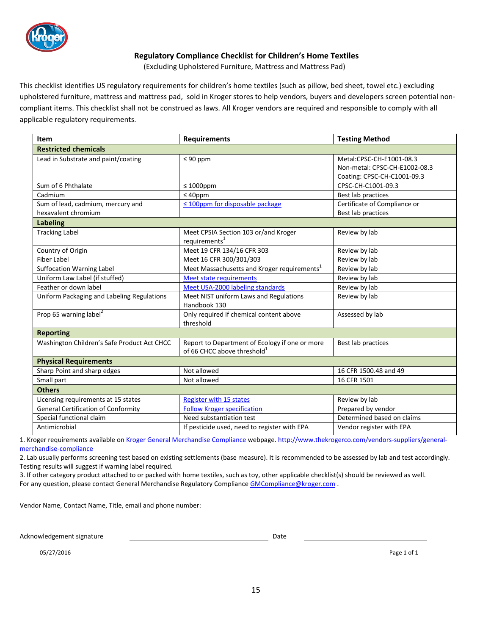

### **Regulatory Compliance Checklist for Children's Home Textiles**

(Excluding Upholstered Furniture, Mattress and Mattress Pad)

This checklist identifies US regulatory requirements for children's home textiles (such as pillow, bed sheet, towel etc.) excluding upholstered furniture, mattress and mattress pad, sold in Kroger stores to help vendors, buyers and developers screen potential noncompliant items. This checklist shall not be construed as laws. All Kroger vendors are required and responsible to comply with all applicable regulatory requirements.

| Item                                                     | <b>Requirements</b>                                                                       | <b>Testing Method</b>                                                                    |  |  |  |
|----------------------------------------------------------|-------------------------------------------------------------------------------------------|------------------------------------------------------------------------------------------|--|--|--|
| <b>Restricted chemicals</b>                              |                                                                                           |                                                                                          |  |  |  |
| Lead in Substrate and paint/coating                      | $\leq 90$ ppm                                                                             | Metal:CPSC-CH-E1001-08.3<br>Non-metal: CPSC-CH-E1002-08.3<br>Coating: CPSC-CH-C1001-09.3 |  |  |  |
| Sum of 6 Phthalate                                       | $\leq 1000$ ppm                                                                           | CPSC-CH-C1001-09.3                                                                       |  |  |  |
| Cadmium                                                  | $\leq 40$ ppm                                                                             | Best lab practices                                                                       |  |  |  |
| Sum of lead, cadmium, mercury and<br>hexavalent chromium | $\leq$ 100ppm for disposable package                                                      | Certificate of Compliance or<br>Best lab practices                                       |  |  |  |
| <b>Labeling</b>                                          |                                                                                           |                                                                                          |  |  |  |
| <b>Tracking Label</b>                                    | Meet CPSIA Section 103 or/and Kroger<br>requirements <sup>1</sup>                         | Review by lab                                                                            |  |  |  |
| Country of Origin                                        | Meet 19 CFR 134/16 CFR 303                                                                | Review by lab                                                                            |  |  |  |
| <b>Fiber Label</b>                                       | Meet 16 CFR 300/301/303                                                                   | Review by lab                                                                            |  |  |  |
| <b>Suffocation Warning Label</b>                         | Meet Massachusetts and Kroger requirements <sup>1</sup>                                   | Review by lab                                                                            |  |  |  |
| Uniform Law Label (if stuffed)                           | <b>Meet state requirements</b>                                                            | Review by lab                                                                            |  |  |  |
| Feather or down label                                    | Meet USA-2000 labeling standards                                                          | Review by lab                                                                            |  |  |  |
| Uniform Packaging and Labeling Regulations               | Meet NIST uniform Laws and Regulations<br>Handbook 130                                    | Review by lab                                                                            |  |  |  |
| Prop 65 warning label <sup>2</sup>                       | Only required if chemical content above<br>threshold                                      | Assessed by lab                                                                          |  |  |  |
| <b>Reporting</b>                                         |                                                                                           |                                                                                          |  |  |  |
| Washington Children's Safe Product Act CHCC              | Report to Department of Ecology if one or more<br>of 66 CHCC above threshold <sup>1</sup> | Best lab practices                                                                       |  |  |  |
| <b>Physical Requirements</b>                             |                                                                                           |                                                                                          |  |  |  |
| Sharp Point and sharp edges                              | Not allowed                                                                               | 16 CFR 1500.48 and 49                                                                    |  |  |  |
| Small part                                               | Not allowed                                                                               | 16 CFR 1501                                                                              |  |  |  |
| <b>Others</b>                                            |                                                                                           |                                                                                          |  |  |  |
| Licensing requirements at 15 states                      | <b>Register with 15 states</b>                                                            | Review by lab                                                                            |  |  |  |
| <b>General Certification of Conformity</b>               | <b>Follow Kroger specification</b>                                                        | Prepared by vendor                                                                       |  |  |  |
| Special functional claim                                 | Need substantiation test                                                                  | Determined based on claims                                                               |  |  |  |
| Antimicrobial                                            | If pesticide used, need to register with EPA                                              | Vendor register with EPA                                                                 |  |  |  |

1. Kroger requirements available on Kroger General Merchandise Compliance webpage. http://www.thekrogerco.com/vendors-suppliers/generalmerchandise-compliance

2. Lab usually performs screening test based on existing settlements (base measure). It is recommended to be assessed by lab and test accordingly. Testing results will suggest if warning label required.

3. If other category product attached to or packed with home textiles, such as toy, other applicable checklist(s) should be reviewed as well. For any question, please contact General Merchandise Regulatory Compliance GMCompliance@kroger.com.

Vendor Name, Contact Name, Title, email and phone number:

Acknowledgement signature **Date of Acknowledgement** signature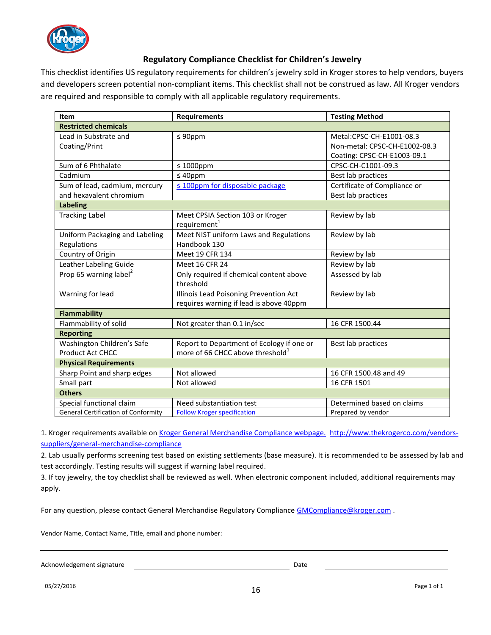

### **Regulatory Compliance Checklist for Children's Jewelry**

This checklist identifies US regulatory requirements for children's jewelry sold in Kroger stores to help vendors, buyers and developers screen potential non-compliant items. This checklist shall not be construed as law. All Kroger vendors are required and responsible to comply with all applicable regulatory requirements.

| <b>Item</b>                                | <b>Requirements</b>                          | <b>Testing Method</b>         |  |  |
|--------------------------------------------|----------------------------------------------|-------------------------------|--|--|
| <b>Restricted chemicals</b>                |                                              |                               |  |  |
| Lead in Substrate and                      | $\leq 90$ ppm                                | Metal:CPSC-CH-E1001-08.3      |  |  |
| Coating/Print                              |                                              | Non-metal: CPSC-CH-E1002-08.3 |  |  |
|                                            |                                              | Coating: CPSC-CH-E1003-09.1   |  |  |
| Sum of 6 Phthalate                         | $\leq 1000$ ppm                              | CPSC-CH-C1001-09.3            |  |  |
| Cadmium                                    | $\leq 40$ ppm                                | Best lab practices            |  |  |
| Sum of lead, cadmium, mercury              | $\leq$ 100ppm for disposable package         | Certificate of Compliance or  |  |  |
| and hexavalent chromium                    |                                              | Best lab practices            |  |  |
| <b>Labeling</b>                            |                                              |                               |  |  |
| <b>Tracking Label</b>                      | Meet CPSIA Section 103 or Kroger             | Review by lab                 |  |  |
|                                            | requirement $^1$                             |                               |  |  |
| Uniform Packaging and Labeling             | Meet NIST uniform Laws and Regulations       | Review by lab                 |  |  |
| Regulations                                | Handbook 130                                 |                               |  |  |
| Country of Origin                          | Meet 19 CFR 134                              | Review by lab                 |  |  |
| Leather Labeling Guide                     | Meet 16 CFR 24                               | Review by lab                 |  |  |
| Prop 65 warning label <sup>2</sup>         | Only required if chemical content above      | Assessed by lab               |  |  |
|                                            | threshold                                    |                               |  |  |
| Warning for lead                           | Illinois Lead Poisoning Prevention Act       | Review by lab                 |  |  |
|                                            | requires warning if lead is above 40ppm      |                               |  |  |
| <b>Flammability</b>                        |                                              |                               |  |  |
| Flammability of solid                      | Not greater than 0.1 in/sec                  | 16 CFR 1500.44                |  |  |
| <b>Reporting</b>                           |                                              |                               |  |  |
| Washington Children's Safe                 | Report to Department of Ecology if one or    | Best lab practices            |  |  |
| Product Act CHCC                           | more of 66 CHCC above threshold <sup>1</sup> |                               |  |  |
| <b>Physical Requirements</b>               |                                              |                               |  |  |
| Sharp Point and sharp edges                | Not allowed                                  | 16 CFR 1500.48 and 49         |  |  |
| Small part                                 | Not allowed                                  | 16 CFR 1501                   |  |  |
| <b>Others</b>                              |                                              |                               |  |  |
| Special functional claim                   | Need substantiation test                     | Determined based on claims    |  |  |
| <b>General Certification of Conformity</b> | <b>Follow Kroger specification</b>           | Prepared by vendor            |  |  |

1. Kroger requirements available on Kroger General Merchandise Compliance webpage. http://www.thekrogerco.com/vendorssuppliers/general-merchandise-compliance

2. Lab usually performs screening test based on existing settlements (base measure). It is recommended to be assessed by lab and test accordingly. Testing results will suggest if warning label required.

3. If toy jewelry, the toy checklist shall be reviewed as well. When electronic component included, additional requirements may apply.

For any question, please contact General Merchandise Regulatory Compliance GMCompliance@kroger.com .

Vendor Name, Contact Name, Title, email and phone number:

Acknowledgement signature **Date Date Date Date Date Date**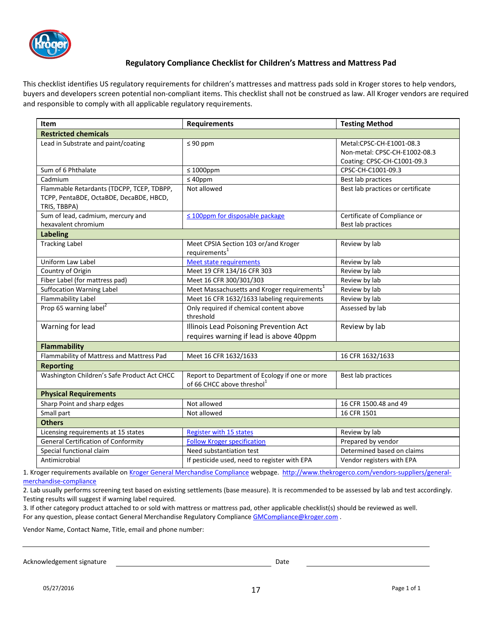

### **Regulatory Compliance Checklist for Children's Mattress and Mattress Pad**

This checklist identifies US regulatory requirements for children's mattresses and mattress pads sold in Kroger stores to help vendors, buyers and developers screen potential non-compliant items. This checklist shall not be construed as law. All Kroger vendors are required and responsible to comply with all applicable regulatory requirements.

| <b>Item</b>                                             | <b>Requirements</b>                                                                      | <b>Testing Method</b>                                     |
|---------------------------------------------------------|------------------------------------------------------------------------------------------|-----------------------------------------------------------|
| <b>Restricted chemicals</b>                             |                                                                                          |                                                           |
| Lead in Substrate and paint/coating                     | $\leq 90$ ppm                                                                            | Metal:CPSC-CH-E1001-08.3<br>Non-metal: CPSC-CH-E1002-08.3 |
|                                                         |                                                                                          | Coating: CPSC-CH-C1001-09.3                               |
| Sum of 6 Phthalate                                      | $\leq 1000$ ppm                                                                          | CPSC-CH-C1001-09.3                                        |
| Cadmium                                                 | $\leq 40$ ppm                                                                            | Best lab practices                                        |
| Flammable Retardants (TDCPP, TCEP, TDBPP,               | Not allowed                                                                              | Best lab practices or certificate                         |
| TCPP, PentaBDE, OctaBDE, DecaBDE, HBCD,<br>TRIS, TBBPA) |                                                                                          |                                                           |
| Sum of lead, cadmium, mercury and                       | $\leq$ 100ppm for disposable package                                                     | Certificate of Compliance or                              |
| hexavalent chromium                                     |                                                                                          | Best lab practices                                        |
| <b>Labeling</b>                                         |                                                                                          |                                                           |
| <b>Tracking Label</b>                                   | Meet CPSIA Section 103 or/and Kroger<br>requirements <sup>1</sup>                        | Review by lab                                             |
| Uniform Law Label                                       | <b>Meet state requirements</b>                                                           | Review by lab                                             |
| Country of Origin                                       | Meet 19 CFR 134/16 CFR 303                                                               | Review by lab                                             |
| Fiber Label (for mattress pad)                          | Meet 16 CFR 300/301/303                                                                  | Review by lab                                             |
| <b>Suffocation Warning Label</b>                        | Meet Massachusetts and Kroger requirements <sup>1</sup>                                  | Review by lab                                             |
| <b>Flammability Label</b>                               | Meet 16 CFR 1632/1633 labeling requirements                                              | Review by lab                                             |
| Prop 65 warning label <sup>2</sup>                      | Only required if chemical content above<br>threshold                                     | Assessed by lab                                           |
| Warning for lead                                        | Illinois Lead Poisoning Prevention Act                                                   | Review by lab                                             |
|                                                         | requires warning if lead is above 40ppm                                                  |                                                           |
| <b>Flammability</b>                                     |                                                                                          |                                                           |
| Flammability of Mattress and Mattress Pad               | Meet 16 CFR 1632/1633                                                                    | 16 CFR 1632/1633                                          |
| <b>Reporting</b>                                        |                                                                                          |                                                           |
| Washington Children's Safe Product Act CHCC             | Report to Department of Ecology if one or more<br>of 66 CHCC above threshol <sup>1</sup> | Best lab practices                                        |
| <b>Physical Requirements</b>                            |                                                                                          |                                                           |
| Sharp Point and sharp edges                             | Not allowed                                                                              | 16 CFR 1500.48 and 49                                     |
| Small part                                              | Not allowed                                                                              | 16 CFR 1501                                               |
| <b>Others</b>                                           |                                                                                          |                                                           |
| Licensing requirements at 15 states                     | <b>Register with 15 states</b>                                                           | Review by lab                                             |
| <b>General Certification of Conformity</b>              | <b>Follow Kroger specification</b>                                                       | Prepared by vendor                                        |
| Special functional claim                                | Need substantiation test                                                                 | Determined based on claims                                |
| Antimicrobial                                           | If pesticide used, need to register with EPA                                             | Vendor registers with EPA                                 |

1. Kroger requirements available on Kroger General Merchandise Compliance webpage. http://www.thekrogerco.com/vendors-suppliers/generalmerchandise-compliance

2. Lab usually performs screening test based on existing settlements (base measure). It is recommended to be assessed by lab and test accordingly. Testing results will suggest if warning label required.

3. If other category product attached to or sold with mattress or mattress pad, other applicable checklist(s) should be reviewed as well. For any question, please contact General Merchandise Regulatory Compliance GMCompliance @kroger.com .

Vendor Name, Contact Name, Title, email and phone number:

Acknowledgement signature **Date of Acknowledgement** signature **Date**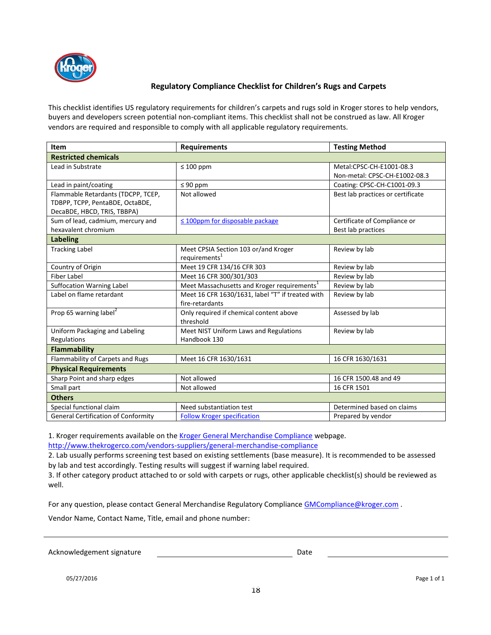

### **Regulatory Compliance Checklist for Children's Rugs and Carpets**

This checklist identifies US regulatory requirements for children's carpets and rugs sold in Kroger stores to help vendors, buyers and developers screen potential non-compliant items. This checklist shall not be construed as law. All Kroger vendors are required and responsible to comply with all applicable regulatory requirements.

| <b>Item</b>                                | <b>Requirements</b>                                     | <b>Testing Method</b>             |
|--------------------------------------------|---------------------------------------------------------|-----------------------------------|
| <b>Restricted chemicals</b>                |                                                         |                                   |
| Lead in Substrate                          | $\leq 100$ ppm                                          | Metal:CPSC-CH-E1001-08.3          |
|                                            |                                                         | Non-metal: CPSC-CH-E1002-08.3     |
| Lead in paint/coating                      | $\leq 90$ ppm                                           | Coating: CPSC-CH-C1001-09.3       |
| Flammable Retardants (TDCPP, TCEP,         | Not allowed                                             | Best lab practices or certificate |
| TDBPP, TCPP, PentaBDE, OctaBDE,            |                                                         |                                   |
| DecaBDE, HBCD, TRIS, TBBPA)                |                                                         |                                   |
| Sum of lead, cadmium, mercury and          | $\leq$ 100ppm for disposable package                    | Certificate of Compliance or      |
| hexavalent chromium                        |                                                         | <b>Best lab practices</b>         |
| <b>Labeling</b>                            |                                                         |                                   |
| <b>Tracking Label</b>                      | Meet CPSIA Section 103 or/and Kroger                    | Review by lab                     |
|                                            | requirements <sup>1</sup>                               |                                   |
| Country of Origin                          | Meet 19 CFR 134/16 CFR 303                              | Review by lab                     |
| <b>Fiber Label</b>                         | Meet 16 CFR 300/301/303                                 | Review by lab                     |
| <b>Suffocation Warning Label</b>           | Meet Massachusetts and Kroger requirements <sup>1</sup> | Review by lab                     |
| Label on flame retardant                   | Meet 16 CFR 1630/1631, label "T" if treated with        | Review by lab                     |
|                                            | fire-retardants                                         |                                   |
| Prop 65 warning label <sup>2</sup>         | Only required if chemical content above                 | Assessed by lab                   |
|                                            | threshold                                               |                                   |
| Uniform Packaging and Labeling             | Meet NIST Uniform Laws and Regulations                  | Review by lab                     |
| Regulations                                | Handbook 130                                            |                                   |
| <b>Flammability</b>                        |                                                         |                                   |
| Flammability of Carpets and Rugs           | Meet 16 CFR 1630/1631                                   | 16 CFR 1630/1631                  |
| <b>Physical Requirements</b>               |                                                         |                                   |
| Sharp Point and sharp edges                | Not allowed                                             | 16 CFR 1500.48 and 49             |
| Small part                                 | Not allowed                                             | 16 CFR 1501                       |
| <b>Others</b>                              |                                                         |                                   |
| Special functional claim                   | Need substantiation test                                | Determined based on claims        |
| <b>General Certification of Conformity</b> | <b>Follow Kroger specification</b>                      | Prepared by vendor                |

1. Kroger requirements available on the Kroger General Merchandise Compliance webpage.

http://www.thekrogerco.com/vendors-suppliers/general-merchandise-compliance

2. Lab usually performs screening test based on existing settlements (base measure). It is recommended to be assessed by lab and test accordingly. Testing results will suggest if warning label required.

3. If other category product attached to or sold with carpets or rugs, other applicable checklist(s) should be reviewed as well.

For any question, please contact General Merchandise Regulatory Compliance GMCompliance@kroger.com .

Vendor Name, Contact Name, Title, email and phone number:

Acknowledgement signature **Date** Date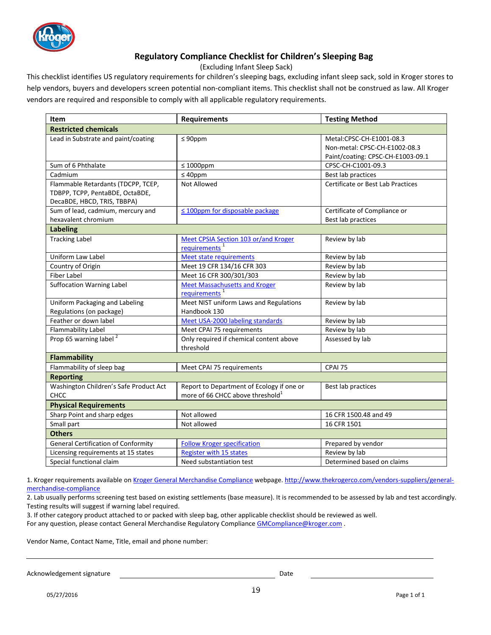

### **Regulatory Compliance Checklist for Children's Sleeping Bag**

(Excluding Infant Sleep Sack)

This checklist identifies US regulatory requirements for children's sleeping bags, excluding infant sleep sack, sold in Kroger stores to help vendors, buyers and developers screen potential non-compliant items. This checklist shall not be construed as law. All Kroger vendors are required and responsible to comply with all applicable regulatory requirements.

| <b>Item</b>                                                                                          | <b>Requirements</b>                                                                       | <b>Testing Method</b>                                                                          |
|------------------------------------------------------------------------------------------------------|-------------------------------------------------------------------------------------------|------------------------------------------------------------------------------------------------|
| <b>Restricted chemicals</b>                                                                          |                                                                                           |                                                                                                |
| Lead in Substrate and paint/coating                                                                  | $\leq 90$ ppm                                                                             | Metal:CPSC-CH-E1001-08.3<br>Non-metal: CPSC-CH-E1002-08.3<br>Paint/coating: CPSC-CH-E1003-09.1 |
| Sum of 6 Phthalate                                                                                   | $\leq 1000$ ppm                                                                           | CPSC-CH-C1001-09.3                                                                             |
| Cadmium                                                                                              | $\leq 40$ ppm                                                                             | Best lab practices                                                                             |
| Flammable Retardants (TDCPP, TCEP,<br>TDBPP, TCPP, PentaBDE, OctaBDE,<br>DecaBDE, HBCD, TRIS, TBBPA) | Not Allowed                                                                               | Certificate or Best Lab Practices                                                              |
| Sum of lead, cadmium, mercury and                                                                    | $\leq$ 100ppm for disposable package                                                      | Certificate of Compliance or                                                                   |
| hexavalent chromium                                                                                  |                                                                                           | Best lab practices                                                                             |
| <b>Labeling</b>                                                                                      |                                                                                           |                                                                                                |
| <b>Tracking Label</b>                                                                                | Meet CPSIA Section 103 or/and Kroger<br>requirements <sup>1</sup>                         | Review by lab                                                                                  |
| Uniform Law Label                                                                                    | <b>Meet state requirements</b>                                                            | Review by lab                                                                                  |
| Country of Origin                                                                                    | Meet 19 CFR 134/16 CFR 303                                                                | Review by lab                                                                                  |
| <b>Fiber Label</b>                                                                                   | Meet 16 CFR 300/301/303                                                                   | Review by lab                                                                                  |
| <b>Suffocation Warning Label</b>                                                                     | <b>Meet Massachusetts and Kroger</b><br>requirements <sup>1</sup>                         | Review by lab                                                                                  |
| Uniform Packaging and Labeling                                                                       | Meet NIST uniform Laws and Regulations                                                    | Review by lab                                                                                  |
| Regulations (on package)                                                                             | Handbook 130                                                                              |                                                                                                |
| Feather or down label                                                                                | Meet USA-2000 labeling standards                                                          | Review by lab                                                                                  |
| Flammability Label                                                                                   | Meet CPAI 75 requirements                                                                 | Review by lab                                                                                  |
| Prop 65 warning label <sup>2</sup>                                                                   | Only required if chemical content above<br>threshold                                      | Assessed by lab                                                                                |
| <b>Flammability</b>                                                                                  |                                                                                           |                                                                                                |
| Flammability of sleep bag                                                                            | Meet CPAI 75 requirements                                                                 | CPAI 75                                                                                        |
| <b>Reporting</b>                                                                                     |                                                                                           |                                                                                                |
| Washington Children's Safe Product Act<br><b>CHCC</b>                                                | Report to Department of Ecology if one or<br>more of 66 CHCC above threshold <sup>1</sup> | Best lab practices                                                                             |
| <b>Physical Requirements</b>                                                                         |                                                                                           |                                                                                                |
| Sharp Point and sharp edges                                                                          | Not allowed                                                                               | 16 CFR 1500.48 and 49                                                                          |
| Small part                                                                                           | Not allowed                                                                               | 16 CFR 1501                                                                                    |
| <b>Others</b>                                                                                        |                                                                                           |                                                                                                |
| <b>General Certification of Conformity</b>                                                           | <b>Follow Kroger specification</b>                                                        | Prepared by vendor                                                                             |
| Licensing requirements at 15 states                                                                  | <b>Register with 15 states</b>                                                            | Review by lab                                                                                  |
| Special functional claim                                                                             | Need substantiation test                                                                  | Determined based on claims                                                                     |

1. Kroger requirements available on Kroger General Merchandise Compliance webpage. http://www.thekrogerco.com/vendors-suppliers/generalmerchandise-compliance

2. Lab usually performs screening test based on existing settlements (base measure). It is recommended to be assessed by lab and test accordingly. Testing results will suggest if warning label required.

3. If other category product attached to or packed with sleep bag, other applicable checklist should be reviewed as well.

For any question, please contact General Merchandise Regulatory Compliance GMCompliance@kroger.com .

Vendor Name, Contact Name, Title, email and phone number:

Acknowledgement signature **Date of Acknowledgement** signature **Date**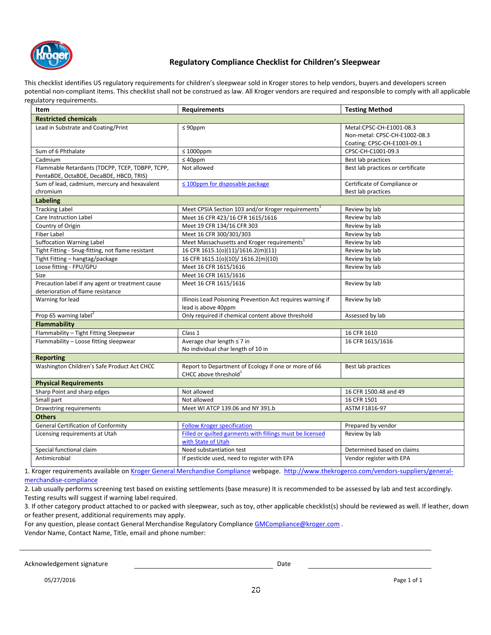

### **Regulatory Compliance Checklist for Children's Sleepwear**

This checklist identifies US regulatory requirements for children's sleepwear sold in Kroger stores to help vendors, buyers and developers screen potential non-compliant items. This checklist shall not be construed as law. All Kroger vendors are required and responsible to comply with all applicable regulatory requirements.

| Item                                                                                       | <b>Requirements</b>                                                                       | <b>Testing Method</b>                                                                    |
|--------------------------------------------------------------------------------------------|-------------------------------------------------------------------------------------------|------------------------------------------------------------------------------------------|
| <b>Restricted chemicals</b>                                                                |                                                                                           |                                                                                          |
| Lead in Substrate and Coating/Print                                                        | $\leq 90$ ppm                                                                             | Metal:CPSC-CH-E1001-08.3<br>Non-metal: CPSC-CH-E1002-08.3<br>Coating: CPSC-CH-E1003-09.1 |
| Sum of 6 Phthalate                                                                         | $\leq 1000$ ppm                                                                           | CPSC-CH-C1001-09.3                                                                       |
| Cadmium                                                                                    | $\leq 40$ ppm                                                                             | Best lab practices                                                                       |
| Flammable Retardants (TDCPP, TCEP, TDBPP, TCPP,<br>PentaBDE, OctaBDE, DecaBDE, HBCD, TRIS) | Not allowed                                                                               | Best lab practices or certificate                                                        |
| Sum of lead, cadmium, mercury and hexavalent<br>chromium                                   | $\leq$ 100ppm for disposable package                                                      | Certificate of Compliance or<br>Best lab practices                                       |
| <b>Labeling</b>                                                                            |                                                                                           |                                                                                          |
| <b>Tracking Label</b>                                                                      | Meet CPSIA Section 103 and/or Kroger requirements <sup>1</sup>                            | Review by lab                                                                            |
| Care Instruction Label                                                                     | Meet 16 CFR 423/16 CFR 1615/1616                                                          | Review by lab                                                                            |
| Country of Origin                                                                          | Meet 19 CFR 134/16 CFR 303                                                                | Review by lab                                                                            |
| <b>Fiber Label</b>                                                                         | Meet 16 CFR 300/301/303                                                                   | Review by lab                                                                            |
| <b>Suffocation Warning Label</b>                                                           | Meet Massachusetts and Kroger requirements <sup>1</sup>                                   | Review by lab                                                                            |
| Tight Fitting - Snug-fitting, not flame resistant                                          | 16 CFR 1615.1(o)(11)/1616.2(m)(11)                                                        | Review by lab                                                                            |
| Tight Fitting - hangtag/package                                                            | 16 CFR 1615.1(o)(10)/ 1616.2(m)(10)                                                       | Review by lab                                                                            |
| Loose fitting - FPU/GPU                                                                    | Meet 16 CFR 1615/1616                                                                     | Review by lab                                                                            |
| Size                                                                                       | Meet 16 CFR 1615/1616                                                                     |                                                                                          |
| Precaution label if any agent or treatment cause<br>deterioration of flame resistance      | Meet 16 CFR 1615/1616                                                                     | Review by lab                                                                            |
| Warning for lead                                                                           | Illinois Lead Poisoning Prevention Act requires warning if<br>lead is above 40ppm         | Review by lab                                                                            |
| Prop 65 warning label <sup>2</sup>                                                         | Only required if chemical content above threshold                                         | Assessed by lab                                                                          |
| <b>Flammability</b>                                                                        |                                                                                           |                                                                                          |
| Flammability - Tight Fitting Sleepwear                                                     | Class 1                                                                                   | 16 CFR 1610                                                                              |
| Flammability - Loose fitting sleepwear                                                     | Average char length ≤ 7 in<br>No individual char length of 10 in                          | 16 CFR 1615/1616                                                                         |
| <b>Reporting</b>                                                                           |                                                                                           |                                                                                          |
| Washington Children's Safe Product Act CHCC                                                | Report to Department of Ecology if one or more of 66<br>CHCC above threshold <sup>1</sup> | Best lab practices                                                                       |
| <b>Physical Requirements</b>                                                               |                                                                                           |                                                                                          |
| Sharp Point and sharp edges                                                                | Not allowed                                                                               | 16 CFR 1500.48 and 49                                                                    |
| Small part                                                                                 | Not allowed                                                                               | 16 CFR 1501                                                                              |
| Drawstring requirements                                                                    | Meet WI ATCP 139.06 and NY 391.b                                                          | ASTM F1816-97                                                                            |
| <b>Others</b>                                                                              |                                                                                           |                                                                                          |
| <b>General Certification of Conformity</b>                                                 | <b>Follow Kroger specification</b>                                                        | Prepared by vendor                                                                       |
| Licensing requirements at Utah                                                             | Filled or quilted garments with fillings must be licensed<br>with State of Utah           | Review by lab                                                                            |
| Special functional claim                                                                   | Need substantiation test                                                                  | Determined based on claims                                                               |
| Antimicrobial                                                                              | If pesticide used, need to register with EPA                                              | Vendor register with EPA                                                                 |

1. Kroger requirements available on Kroger General Merchandise Compliance webpage. http://www.thekrogerco.com/vendors-suppliers/generalmerchandise-compliance

2. Lab usually performs screening test based on existing settlements (base measure) It is recommended to be assessed by lab and test accordingly. Testing results will suggest if warning label required.

3. If other category product attached to or packed with sleepwear, such as toy, other applicable checklist(s) should be reviewed as well. If leather, down or feather present, additional requirements may apply.

For any question, please contact General Merchandise Regulatory Compliance GMCompliance @kroger.com .

Vendor Name, Contact Name, Title, email and phone number:

Acknowledgement signature description of the Date Date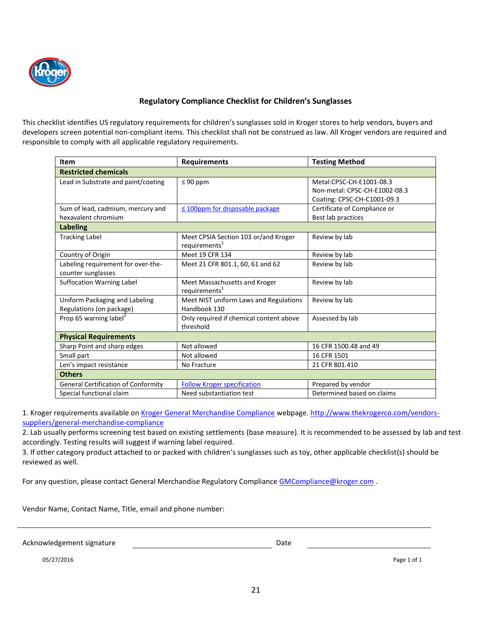

### **Regulatory Compliance Checklist for Children's Sunglasses**

This checklist identifies US regulatory requirements for children's sunglasses sold in Kroger stores to help vendors, buyers and developers screen potential non-compliant items. This checklist shall not be construed as law. All Kroger vendors are required and responsible to comply with all applicable regulatory requirements.

| Item                                       | <b>Requirements</b>                                               | <b>Testing Method</b>         |
|--------------------------------------------|-------------------------------------------------------------------|-------------------------------|
| <b>Restricted chemicals</b>                |                                                                   |                               |
| Lead in Substrate and paint/coating        | $\leq 90$ ppm                                                     | Metal:CPSC-CH-E1001-08.3      |
|                                            |                                                                   | Non-metal: CPSC-CH-E1002-08.3 |
|                                            |                                                                   | Coating: CPSC-CH-C1001-09.3   |
| Sum of lead, cadmium, mercury and          | $\leq$ 100ppm for disposable package                              | Certificate of Compliance or  |
| hexavalent chromium                        |                                                                   | Best lab practices            |
| <b>Labeling</b>                            |                                                                   |                               |
| <b>Tracking Label</b>                      | Meet CPSIA Section 103 or/and Kroger<br>requirements <sup>1</sup> | Review by lab                 |
| Country of Origin                          | Meet 19 CFR 134                                                   | Review by lab                 |
| Labeling requirement for over-the-         | Meet 21 CFR 801.1, 60, 61 and 62                                  | Review by lab                 |
| counter sunglasses                         |                                                                   |                               |
| <b>Suffocation Warning Label</b>           | Meet Massachusetts and Kroger                                     | Review by lab                 |
|                                            | requirements <sup>1</sup>                                         |                               |
| Uniform Packaging and Labeling             | Meet NIST uniform Laws and Regulations                            | Review by lab                 |
| Regulations (on package)                   | Handbook 130                                                      |                               |
| Prop 65 warning label <sup>2</sup>         | Only required if chemical content above                           | Assessed by lab               |
|                                            | threshold                                                         |                               |
| <b>Physical Requirements</b>               |                                                                   |                               |
| Sharp Point and sharp edges                | Not allowed                                                       | 16 CFR 1500.48 and 49         |
| Small part                                 | Not allowed                                                       | 16 CFR 1501                   |
| Len's impact resistance                    | No Fracture                                                       | 21 CFR 801.410                |
| <b>Others</b>                              |                                                                   |                               |
| <b>General Certification of Conformity</b> | <b>Follow Kroger specification</b>                                | Prepared by vendor            |
| Special functional claim                   | Need substantiation test                                          | Determined based on claims    |

1. Kroger requirements available on Kroger General Merchandise Compliance webpage. http://www.thekrogerco.com/vendorssuppliers/general-merchandise-compliance

2. Lab usually performs screening test based on existing settlements (base measure). It is recommended to be assessed by lab and test accordingly. Testing results will suggest if warning label required.

3. If other category product attached to or packed with children's sunglasses such as toy, other applicable checklist(s) should be reviewed as well.

For any question, please contact General Merchandise Regulatory Compliance GMCompliance @kroger.com .

Vendor Name, Contact Name, Title, email and phone number:

Acknowledgement signature **Date** Date Date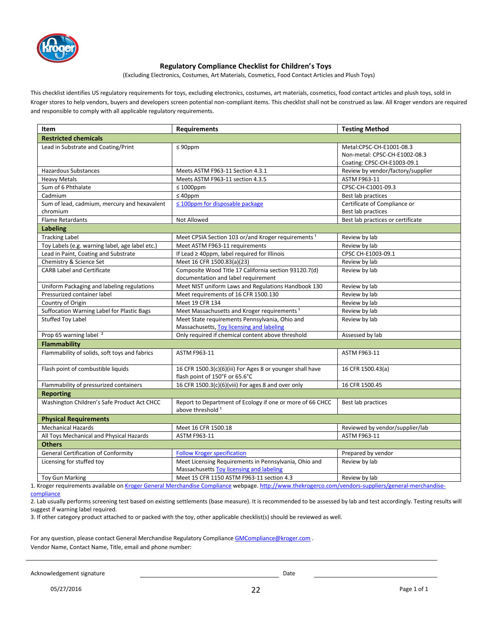

#### **Regulatory Compliance Checklist for Children's Toys**

(Excluding Electronics, Costumes, Art Materials, Cosmetics, Food Contact Articles and Plush Toys)

This checklist identifies US regulatory requirements for toys, excluding electronics, costumes, art materials, cosmetics, food contact articles and plush toys, sold in Kroger stores to help vendors, buyers and developers screen potential non-compliant items. This checklist shall not be construed as law. All Kroger vendors are required and responsible to comply with all applicable regulatory requirements.

| Item                                            | <b>Requirements</b>                                                                                                                                  | <b>Testing Method</b>             |
|-------------------------------------------------|------------------------------------------------------------------------------------------------------------------------------------------------------|-----------------------------------|
| <b>Restricted chemicals</b>                     |                                                                                                                                                      |                                   |
| Lead in Substrate and Coating/Print             | $\leq 90$ ppm                                                                                                                                        | Metal:CPSC-CH-E1001-08.3          |
|                                                 |                                                                                                                                                      | Non-metal: CPSC-CH-E1002-08.3     |
|                                                 |                                                                                                                                                      | Coating: CPSC-CH-E1003-09.1       |
| <b>Hazardous Substances</b>                     | Meets ASTM F963-11 Section 4.3.1                                                                                                                     | Review by vendor/factory/supplier |
| <b>Heavy Metals</b>                             | Meets ASTM F963-11 section 4.3.5                                                                                                                     | ASTM F963-11                      |
| Sum of 6 Phthalate                              | $\leq 1000$ ppm                                                                                                                                      | CPSC-CH-C1001-09.3                |
| Cadmium                                         | $\leq 40$ ppm                                                                                                                                        | Best lab practices                |
| Sum of lead, cadmium, mercury and hexavalent    | ≤ 100ppm for disposable package                                                                                                                      | Certificate of Compliance or      |
| chromium                                        |                                                                                                                                                      | Best lab practices                |
| <b>Flame Retardants</b>                         | Not Allowed                                                                                                                                          | Best lab practices or certificate |
| <b>Labeling</b>                                 |                                                                                                                                                      |                                   |
| <b>Tracking Label</b>                           | Meet CPSIA Section 103 or/and Kroger requirements <sup>1</sup>                                                                                       | Review by lab                     |
| Toy Labels (e.g. warning label, age label etc.) | Meet ASTM F963-11 requirements                                                                                                                       | Review by lab                     |
| Lead in Paint, Coating and Substrate            | If Lead $\geq$ 40ppm, label required for Illinois                                                                                                    | CPSC CH-E1003-09.1                |
| Chemistry & Science Set                         | Meet 16 CFR 1500.83(a)(23)                                                                                                                           | Review by lab                     |
| <b>CARB Label and Certificate</b>               | Composite Wood Title 17 California section 93120.7(d)                                                                                                | Review by lab                     |
|                                                 | documentation and label requirement                                                                                                                  |                                   |
| Uniform Packaging and labeling regulations      | Meet NIST uniform Laws and Regulations Handbook 130                                                                                                  | Review by lab                     |
| Pressurized container label                     | Meet requirements of 16 CFR 1500.130                                                                                                                 | Review by lab                     |
| Country of Origin                               | Meet 19 CFR 134                                                                                                                                      | Review by lab                     |
| Suffocation Warning Label for Plastic Bags      | Meet Massachusetts and Kroger requirements <sup>1</sup>                                                                                              | Review by lab                     |
| <b>Stuffed Toy Label</b>                        | Meet State requirements Pennsylvania, Ohio and                                                                                                       | Review by lab                     |
|                                                 | Massachusetts, Toy licensing and labeling                                                                                                            |                                   |
| Prop 65 warning label <sup>2</sup>              | Only required if chemical content above threshold                                                                                                    | Assessed by lab                   |
| <b>Flammability</b>                             |                                                                                                                                                      |                                   |
| Flammability of solids, soft toys and fabrics   | ASTM F963-11                                                                                                                                         | <b>ASTM F963-11</b>               |
| Flash point of combustible liquids              | 16 CFR 1500.3(c)(6)(iii) For Ages 8 or younger shall have                                                                                            | 16 CFR 1500.43(a)                 |
|                                                 | flash point of 150°F or 65.6°C                                                                                                                       |                                   |
| Flammability of pressurized containers          | 16 CFR 1500.3(c)(6)(viii) For ages 8 and over only                                                                                                   | 16 CFR 1500.45                    |
| <b>Reporting</b>                                |                                                                                                                                                      |                                   |
| Washington Children's Safe Product Act CHCC     | Report to Department of Ecology if one or more of 66 CHCC<br>above threshold <sup>1</sup>                                                            | Best lab practices                |
| <b>Physical Requirements</b>                    |                                                                                                                                                      |                                   |
| <b>Mechanical Hazards</b>                       | Meet 16 CFR 1500.18                                                                                                                                  | Reviewed by vendor/supplier/lab   |
| All Toys Mechanical and Physical Hazards        | ASTM F963-11                                                                                                                                         | ASTM F963-11                      |
| <b>Others</b>                                   |                                                                                                                                                      |                                   |
| <b>General Certification of Conformity</b>      | <b>Follow Kroger specification</b>                                                                                                                   | Prepared by vendor                |
| Licensing for stuffed toy                       | Meet Licensing Requirements in Pennsylvania, Ohio and                                                                                                | Review by lab                     |
|                                                 | Massachusetts Toy licensing and labeling                                                                                                             |                                   |
| <b>Toy Gun Marking</b>                          | Meet 15 CFR 1150 ASTM F963-11 section 4.3                                                                                                            | Review by lab                     |
|                                                 | 1. Kroger requirements available on Kroger General Merchandise Compliance webpage. http://www.thekrogerco.com/vendors-suppliers/general-merchandise- |                                   |

compliance

2. Lab usually performs screening test based on existing settlements (base measure). It is recommended to be assessed by lab and test accordingly. Testing results will suggest if warning label required.

3. If other category product attached to or packed with the toy, other applicable checklist(s) should be reviewed as well.

For any question, please contact General Merchandise Regulatory Compliance GMCompliance@kroger.com . Vendor Name, Contact Name, Title, email and phone number:

Acknowledgement signature and the control of the control of the control of the control of the control of the control of the control of the control of the control of the control of the control of the control of the control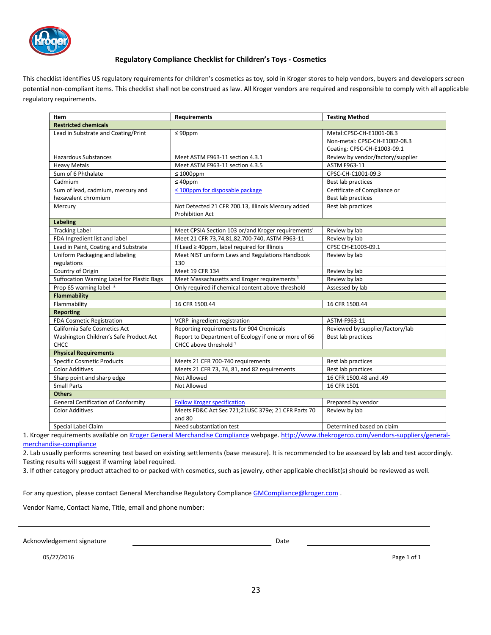

#### **Regulatory Compliance Checklist for Children's Toys - Cosmetics**

This checklist identifies US regulatory requirements for children's cosmetics as toy, sold in Kroger stores to help vendors, buyers and developers screen potential non-compliant items. This checklist shall not be construed as law. All Kroger vendors are required and responsible to comply with all applicable regulatory requirements.

| Item                                       | <b>Requirements</b>                                            | <b>Testing Method</b>             |
|--------------------------------------------|----------------------------------------------------------------|-----------------------------------|
| <b>Restricted chemicals</b>                |                                                                |                                   |
| Lead in Substrate and Coating/Print        | $\leq 90$ ppm                                                  | Metal:CPSC-CH-E1001-08.3          |
|                                            |                                                                | Non-metal: CPSC-CH-E1002-08.3     |
|                                            |                                                                | Coating: CPSC-CH-E1003-09.1       |
| <b>Hazardous Substances</b>                | Meet ASTM F963-11 section 4.3.1                                | Review by vendor/factory/supplier |
| <b>Heavy Metals</b>                        | Meet ASTM F963-11 section 4.3.5                                | ASTM F963-11                      |
| Sum of 6 Phthalate                         | $\leq 1000$ ppm                                                | CPSC-CH-C1001-09.3                |
| Cadmium                                    | $\leq 40$ ppm                                                  | Best lab practices                |
| Sum of lead, cadmium, mercury and          | $\leq$ 100ppm for disposable package                           | Certificate of Compliance or      |
| hexavalent chromium                        |                                                                | Best lab practices                |
| Mercury                                    | Not Detected 21 CFR 700.13, Illinois Mercury added             | Best lab practices                |
|                                            | <b>Prohibition Act</b>                                         |                                   |
| Labeling                                   |                                                                |                                   |
| <b>Tracking Label</b>                      | Meet CPSIA Section 103 or/and Kroger requirements <sup>1</sup> | Review by lab                     |
| FDA Ingredient list and label              | Meet 21 CFR 73,74,81,82,700-740, ASTM F963-11                  | Review by lab                     |
| Lead in Paint, Coating and Substrate       | If Lead ≥ 40ppm, label required for Illinois                   | CPSC CH-E1003-09.1                |
| Uniform Packaging and labeling             | Meet NIST uniform Laws and Regulations Handbook                | Review by lab                     |
| regulations                                | 130                                                            |                                   |
| Country of Origin                          | Meet 19 CFR 134                                                | Review by lab                     |
| Suffocation Warning Label for Plastic Bags | Meet Massachusetts and Kroger requirements <sup>1</sup>        | Review by lab                     |
| Prop 65 warning label <sup>2</sup>         | Only required if chemical content above threshold              | Assessed by lab                   |
| <b>Flammability</b>                        |                                                                |                                   |
| Flammability                               | 16 CFR 1500.44                                                 | 16 CFR 1500.44                    |
| <b>Reporting</b>                           |                                                                |                                   |
| FDA Cosmetic Registration                  | VCRP ingredient registration                                   | ASTM-F963-11                      |
| California Safe Cosmetics Act              | Reporting requirements for 904 Chemicals                       | Reviewed by supplier/factory/lab  |
| Washington Children's Safe Product Act     | Report to Department of Ecology if one or more of 66           | Best lab practices                |
| <b>CHCC</b>                                | CHCC above threshold 1                                         |                                   |
| <b>Physical Requirements</b>               |                                                                |                                   |
| <b>Specific Cosmetic Products</b>          | Meets 21 CFR 700-740 requirements                              | Best lab practices                |
| <b>Color Additives</b>                     | Meets 21 CFR 73, 74, 81, and 82 requirements                   | Best lab practices                |
| Sharp point and sharp edge                 | Not Allowed                                                    | 16 CFR 1500.48 and .49            |
| <b>Small Parts</b>                         | Not Allowed                                                    | 16 CFR 1501                       |
| <b>Others</b>                              |                                                                |                                   |
| <b>General Certification of Conformity</b> | <b>Follow Kroger specification</b>                             | Prepared by vendor                |
| <b>Color Additives</b>                     | Meets FD&C Act Sec 721;21USC 379e; 21 CFR Parts 70<br>and 80   | Review by lab                     |
| Special Label Claim                        | Need substantiation test                                       | Determined based on claim         |
|                                            |                                                                |                                   |

1. Kroger requirements available on Kroger General Merchandise Compliance webpage. http://www.thekrogerco.com/vendors-suppliers/generalmerchandise-compliance

2. Lab usually performs screening test based on existing settlements (base measure). It is recommended to be assessed by lab and test accordingly. Testing results will suggest if warning label required.

3. If other category product attached to or packed with cosmetics, such as jewelry, other applicable checklist(s) should be reviewed as well.

For any question, please contact General Merchandise Regulatory Compliance GMCompliance@kroger.com .

Vendor Name, Contact Name, Title, email and phone number:

Acknowledgement signature and the control of the control of the Date of the Date of the Date of the Date of the Date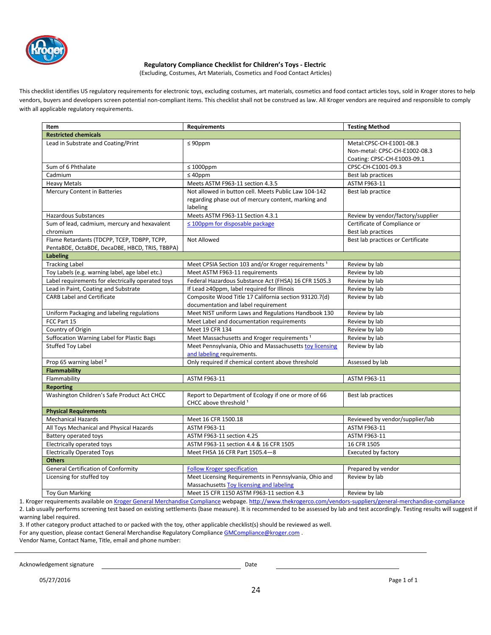

#### **Regulatory Compliance Checklist for Children's Toys - Electric**

(Excluding, Costumes, Art Materials, Cosmetics and Food Contact Articles)

This checklist identifies US regulatory requirements for electronic toys, excluding costumes, art materials, cosmetics and food contact articles toys, sold in Kroger stores to help vendors, buyers and developers screen potential non-compliant items. This checklist shall not be construed as law. All Kroger vendors are required and responsible to comply with all applicable regulatory requirements.

| Item                                                                                          | <b>Requirements</b>                                                                                                     | <b>Testing Method</b>                                     |
|-----------------------------------------------------------------------------------------------|-------------------------------------------------------------------------------------------------------------------------|-----------------------------------------------------------|
| <b>Restricted chemicals</b>                                                                   |                                                                                                                         |                                                           |
| Lead in Substrate and Coating/Print                                                           | $\leq 90$ ppm                                                                                                           | Metal:CPSC-CH-E1001-08.3<br>Non-metal: CPSC-CH-E1002-08.3 |
|                                                                                               |                                                                                                                         | Coating: CPSC-CH-E1003-09.1                               |
| Sum of 6 Phthalate                                                                            | $\leq 1000$ ppm                                                                                                         | CPSC-CH-C1001-09.3                                        |
| Cadmium                                                                                       | $\leq 40$ ppm                                                                                                           | Best lab practices                                        |
| <b>Heavy Metals</b>                                                                           | Meets ASTM F963-11 section 4.3.5                                                                                        | ASTM F963-11                                              |
| Mercury Content in Batteries                                                                  | Not allowed in button cell. Meets Public Law 104-142<br>regarding phase out of mercury content, marking and<br>labeling | Best lab practice                                         |
| <b>Hazardous Substances</b>                                                                   | Meets ASTM F963-11 Section 4.3.1                                                                                        | Review by vendor/factory/supplier                         |
| Sum of lead, cadmium, mercury and hexavalent                                                  | $\leq$ 100ppm for disposable package                                                                                    | Certificate of Compliance or                              |
| chromium                                                                                      |                                                                                                                         | Best lab practices                                        |
| Flame Retardants (TDCPP, TCEP, TDBPP, TCPP,<br>PentaBDE, OctaBDE, DecaDBE, HBCD, TRIS, TBBPA) | Not Allowed                                                                                                             | Best lab practices or Certificate                         |
| <b>Labeling</b>                                                                               |                                                                                                                         |                                                           |
| <b>Tracking Label</b>                                                                         | Meet CPSIA Section 103 and/or Kroger requirements <sup>1</sup>                                                          | Review by lab                                             |
| Toy Labels (e.g. warning label, age label etc.)                                               | Meet ASTM F963-11 requirements                                                                                          | Review by lab                                             |
| Label requirements for electrically operated toys                                             | Federal Hazardous Substance Act (FHSA) 16 CFR 1505.3                                                                    | Review by lab                                             |
| Lead in Paint, Coating and Substrate                                                          | If Lead ≥40ppm, label required for Illinois                                                                             | Review by lab                                             |
| <b>CARB Label and Certificate</b>                                                             | Composite Wood Title 17 California section 93120.7(d)<br>documentation and label requirement                            | Review by lab                                             |
| Uniform Packaging and labeling regulations                                                    | Meet NIST uniform Laws and Regulations Handbook 130                                                                     | Review by lab                                             |
| FCC Part 15                                                                                   | Meet Label and documentation requirements                                                                               | Review by lab                                             |
| Country of Origin                                                                             | Meet 19 CFR 134                                                                                                         | Review by lab                                             |
| Suffocation Warning Label for Plastic Bags                                                    | Meet Massachusetts and Kroger requirements <sup>1</sup>                                                                 | Review by lab                                             |
| <b>Stuffed Toy Label</b>                                                                      | Meet Pennsylvania, Ohio and Massachusetts toy licensing<br>and labeling requirements.                                   | Review by lab                                             |
| Prop 65 warning label <sup>2</sup>                                                            | Only required if chemical content above threshold                                                                       | Assessed by lab                                           |
| <b>Flammability</b>                                                                           |                                                                                                                         |                                                           |
| Flammability                                                                                  | <b>ASTM F963-11</b>                                                                                                     | ASTM F963-11                                              |
| <b>Reporting</b>                                                                              |                                                                                                                         |                                                           |
| Washington Children's Safe Product Act CHCC                                                   | Report to Department of Ecology if one or more of 66<br>CHCC above threshold 1                                          | Best lab practices                                        |
| <b>Physical Requirements</b>                                                                  |                                                                                                                         |                                                           |
| <b>Mechanical Hazards</b>                                                                     | Meet 16 CFR 1500.18                                                                                                     | Reviewed by vendor/supplier/lab                           |
| All Toys Mechanical and Physical Hazards                                                      | ASTM F963-11                                                                                                            | ASTM F963-11                                              |
| Battery operated toys                                                                         | ASTM F963-11 section 4.25                                                                                               | ASTM F963-11                                              |
| Electrically operated toys                                                                    | ASTM F963-11 section 4.4 & 16 CFR 1505                                                                                  | 16 CFR 1505                                               |
| <b>Electrically Operated Toys</b>                                                             | Meet FHSA 16 CFR Part 1505.4-8                                                                                          | Executed by factory                                       |
| <b>Others</b>                                                                                 |                                                                                                                         |                                                           |
| <b>General Certification of Conformity</b>                                                    | <b>Follow Kroger specification</b>                                                                                      | Prepared by vendor                                        |
| Licensing for stuffed toy                                                                     | Meet Licensing Requirements in Pennsylvania, Ohio and<br>Massachusetts Toy licensing and labeling                       | Review by lab                                             |
| <b>Toy Gun Marking</b>                                                                        | Meet 15 CFR 1150 ASTM F963-11 section 4.3                                                                               | Review by lab                                             |
|                                                                                               |                                                                                                                         |                                                           |

1. Kroger requirements available on Kroger General Merchandise Compliance webpage. http://www.thekrogerco.com/vendors-suppliers/general-merchandise-compliance 2. Lab usually performs screening test based on existing settlements (base measure). It is recommended to be assessed by lab and test accordingly. Testing results will suggest if warning label required.

3. If other category product attached to or packed with the toy, other applicable checklist(s) should be reviewed as well.

For any question, please contact General Merchandise Regulatory Compliance GMCompliance@kroger.com .

Vendor Name, Contact Name, Title, email and phone number:

#### Acknowledgement signature development of the Date Date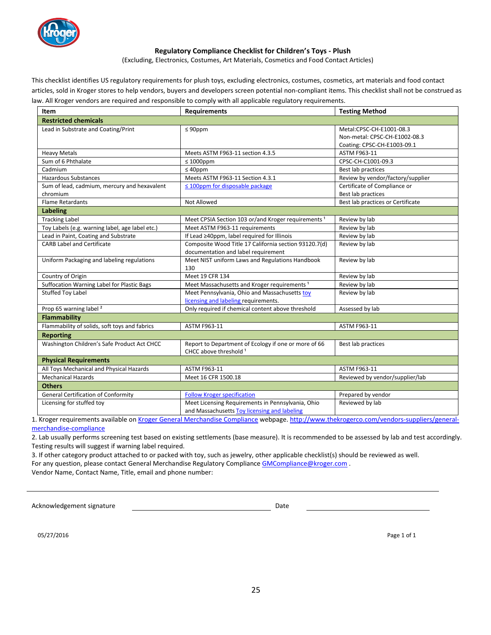

#### **Regulatory Compliance Checklist for Children's Toys - Plush**

(Excluding, Electronics, Costumes, Art Materials, Cosmetics and Food Contact Articles)

This checklist identifies US regulatory requirements for plush toys, excluding electronics, costumes, cosmetics, art materials and food contact articles, sold in Kroger stores to help vendors, buyers and developers screen potential non-compliant items. This checklist shall not be construed as law. All Kroger vendors are required and responsible to comply with all applicable regulatory requirements.

| Item                                            | <b>Requirements</b>                                            | <b>Testing Method</b>             |
|-------------------------------------------------|----------------------------------------------------------------|-----------------------------------|
| <b>Restricted chemicals</b>                     |                                                                |                                   |
| Lead in Substrate and Coating/Print             | $\leq 90$ ppm                                                  | Metal:CPSC-CH-E1001-08.3          |
|                                                 |                                                                | Non-metal: CPSC-CH-E1002-08.3     |
|                                                 |                                                                | Coating: CPSC-CH-E1003-09.1       |
| <b>Heavy Metals</b>                             | Meets ASTM F963-11 section 4.3.5                               | ASTM F963-11                      |
| Sum of 6 Phthalate                              | $\leq 1000$ ppm                                                | CPSC-CH-C1001-09.3                |
| Cadmium                                         | $\leq 40$ ppm                                                  | Best lab practices                |
| <b>Hazardous Substances</b>                     | Meets ASTM F963-11 Section 4.3.1                               | Review by vendor/factory/supplier |
| Sum of lead, cadmium, mercury and hexavalent    | $\leq$ 100ppm for disposable package                           | Certificate of Compliance or      |
| chromium                                        |                                                                | Best lab practices                |
| <b>Flame Retardants</b>                         | Not Allowed                                                    | Best lab practices or Certificate |
| <b>Labeling</b>                                 |                                                                |                                   |
| <b>Tracking Label</b>                           | Meet CPSIA Section 103 or/and Kroger requirements <sup>1</sup> | Review by lab                     |
| Toy Labels (e.g. warning label, age label etc.) | Meet ASTM F963-11 requirements                                 | Review by lab                     |
| Lead in Paint, Coating and Substrate            | If Lead ≥40ppm, label required for Illinois                    | Review by lab                     |
| <b>CARB Label and Certificate</b>               | Composite Wood Title 17 California section 93120.7(d)          | Review by lab                     |
|                                                 | documentation and label requirement                            |                                   |
| Uniform Packaging and labeling regulations      | Meet NIST uniform Laws and Regulations Handbook                | Review by lab                     |
|                                                 | 130                                                            |                                   |
| Country of Origin                               | Meet 19 CFR 134                                                | Review by lab                     |
| Suffocation Warning Label for Plastic Bags      | Meet Massachusetts and Kroger requirements <sup>1</sup>        | Review by lab                     |
| <b>Stuffed Toy Label</b>                        | Meet Pennsylvania, Ohio and Massachusetts toy                  | Review by lab                     |
|                                                 | licensing and labeling requirements.                           |                                   |
| Prop 65 warning label <sup>2</sup>              | Only required if chemical content above threshold              | Assessed by lab                   |
| <b>Flammability</b>                             |                                                                |                                   |
| Flammability of solids, soft toys and fabrics   | ASTM F963-11                                                   | ASTM F963-11                      |
| <b>Reporting</b>                                |                                                                |                                   |
| Washington Children's Safe Product Act CHCC     | Report to Department of Ecology if one or more of 66           | Best lab practices                |
|                                                 | CHCC above threshold 1                                         |                                   |
| <b>Physical Requirements</b>                    |                                                                |                                   |
| All Toys Mechanical and Physical Hazards        | ASTM F963-11                                                   | ASTM F963-11                      |
| <b>Mechanical Hazards</b>                       | Meet 16 CFR 1500.18                                            | Reviewed by vendor/supplier/lab   |
| <b>Others</b>                                   |                                                                |                                   |
| <b>General Certification of Conformity</b>      | <b>Follow Kroger specification</b>                             | Prepared by vendor                |
| Licensing for stuffed toy                       | Meet Licensing Requirements in Pennsylvania, Ohio              | Reviewed by lab                   |
|                                                 | and Massachusetts Toy licensing and labeling                   |                                   |

1. Kroger requirements available on Kroger General Merchandise Compliance webpage. http://www.thekrogerco.com/vendors-suppliers/generalmerchandise-compliance

2. Lab usually performs screening test based on existing settlements (base measure). It is recommended to be assessed by lab and test accordingly. Testing results will suggest if warning label required.

3. If other category product attached to or packed with toy, such as jewelry, other applicable checklist(s) should be reviewed as well. For any question, please contact General Merchandise Regulatory Compliance GMCompliance@kroger.com.

Vendor Name, Contact Name, Title, email and phone number:

Acknowledgement signature and the control of the Date Date